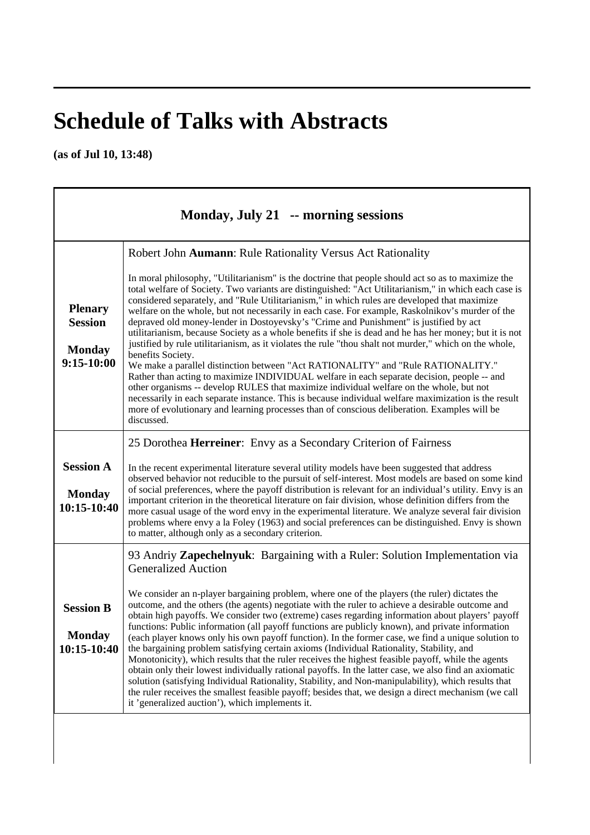## **Schedule of Talks with Abstracts**

**(as of Jul 10, 13:48)** 

| Monday, July 21 -- morning sessions                               |                                                                                                                                                                                                                                                                                                                                                                                                                                                                                                                                                                                                                                                                                                                                                                                                                                                                                                                                                                                                                                                                                                                                                                                                                                                                                                                     |
|-------------------------------------------------------------------|---------------------------------------------------------------------------------------------------------------------------------------------------------------------------------------------------------------------------------------------------------------------------------------------------------------------------------------------------------------------------------------------------------------------------------------------------------------------------------------------------------------------------------------------------------------------------------------------------------------------------------------------------------------------------------------------------------------------------------------------------------------------------------------------------------------------------------------------------------------------------------------------------------------------------------------------------------------------------------------------------------------------------------------------------------------------------------------------------------------------------------------------------------------------------------------------------------------------------------------------------------------------------------------------------------------------|
| <b>Plenary</b><br><b>Session</b><br><b>Monday</b><br>$9:15-10:00$ | Robert John Aumann: Rule Rationality Versus Act Rationality<br>In moral philosophy, "Utilitarianism" is the doctrine that people should act so as to maximize the<br>total welfare of Society. Two variants are distinguished: "Act Utilitarianism," in which each case is<br>considered separately, and "Rule Utilitarianism," in which rules are developed that maximize<br>welfare on the whole, but not necessarily in each case. For example, Raskolnikov's murder of the<br>depraved old money-lender in Dostoyevsky's "Crime and Punishment" is justified by act<br>utilitarianism, because Society as a whole benefits if she is dead and he has her money; but it is not<br>justified by rule utilitarianism, as it violates the rule "thou shalt not murder," which on the whole,<br>benefits Society.<br>We make a parallel distinction between "Act RATIONALITY" and "Rule RATIONALITY."<br>Rather than acting to maximize INDIVIDUAL welfare in each separate decision, people -- and<br>other organisms -- develop RULES that maximize individual welfare on the whole, but not<br>necessarily in each separate instance. This is because individual welfare maximization is the result<br>more of evolutionary and learning processes than of conscious deliberation. Examples will be<br>discussed. |
| <b>Session A</b><br><b>Monday</b><br>10:15-10:40                  | 25 Dorothea <b>Herreiner</b> : Envy as a Secondary Criterion of Fairness<br>In the recent experimental literature several utility models have been suggested that address<br>observed behavior not reducible to the pursuit of self-interest. Most models are based on some kind<br>of social preferences, where the payoff distribution is relevant for an individual's utility. Envy is an<br>important criterion in the theoretical literature on fair division, whose definition differs from the<br>more casual usage of the word envy in the experimental literature. We analyze several fair division<br>problems where envy a la Foley (1963) and social preferences can be distinguished. Envy is shown<br>to matter, although only as a secondary criterion.                                                                                                                                                                                                                                                                                                                                                                                                                                                                                                                                              |
| <b>Session B</b><br><b>Monday</b><br>10:15-10:40                  | 93 Andriy Zapechelnyuk: Bargaining with a Ruler: Solution Implementation via<br><b>Generalized Auction</b><br>We consider an n-player bargaining problem, where one of the players (the ruler) dictates the<br>outcome, and the others (the agents) negotiate with the ruler to achieve a desirable outcome and<br>obtain high payoffs. We consider two (extreme) cases regarding information about players' payoff<br>functions: Public information (all payoff functions are publicly known), and private information<br>(each player knows only his own payoff function). In the former case, we find a unique solution to<br>the bargaining problem satisfying certain axioms (Individual Rationality, Stability, and<br>Monotonicity), which results that the ruler receives the highest feasible payoff, while the agents<br>obtain only their lowest individually rational payoffs. In the latter case, we also find an axiomatic<br>solution (satisfying Individual Rationality, Stability, and Non-manipulability), which results that<br>the ruler receives the smallest feasible payoff; besides that, we design a direct mechanism (we call<br>it 'generalized auction'), which implements it.                                                                                                          |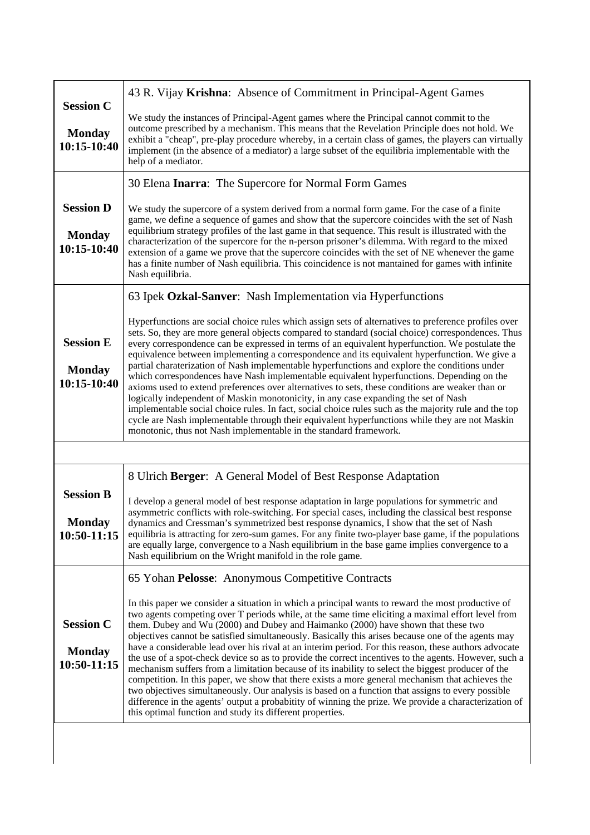| <b>Session C</b>                                 | 43 R. Vijay Krishna: Absence of Commitment in Principal-Agent Games                                                                                                                                                                                                                                                                                                                                                                                                                                                                                                                                                                                                                                                                                                                                                                                                                                                                                                                                                                                                                                      |
|--------------------------------------------------|----------------------------------------------------------------------------------------------------------------------------------------------------------------------------------------------------------------------------------------------------------------------------------------------------------------------------------------------------------------------------------------------------------------------------------------------------------------------------------------------------------------------------------------------------------------------------------------------------------------------------------------------------------------------------------------------------------------------------------------------------------------------------------------------------------------------------------------------------------------------------------------------------------------------------------------------------------------------------------------------------------------------------------------------------------------------------------------------------------|
| <b>Monday</b><br>10:15-10:40                     | We study the instances of Principal-Agent games where the Principal cannot commit to the<br>outcome prescribed by a mechanism. This means that the Revelation Principle does not hold. We<br>exhibit a "cheap", pre-play procedure whereby, in a certain class of games, the players can virtually<br>implement (in the absence of a mediator) a large subset of the equilibria implementable with the<br>help of a mediator.                                                                                                                                                                                                                                                                                                                                                                                                                                                                                                                                                                                                                                                                            |
|                                                  | 30 Elena <b>Inarra:</b> The Supercore for Normal Form Games                                                                                                                                                                                                                                                                                                                                                                                                                                                                                                                                                                                                                                                                                                                                                                                                                                                                                                                                                                                                                                              |
| <b>Session D</b><br><b>Monday</b><br>10:15-10:40 | We study the supercore of a system derived from a normal form game. For the case of a finite<br>game, we define a sequence of games and show that the supercore coincides with the set of Nash<br>equilibrium strategy profiles of the last game in that sequence. This result is illustrated with the<br>characterization of the supercore for the n-person prisoner's dilemma. With regard to the mixed<br>extension of a game we prove that the supercore coincides with the set of NE whenever the game<br>has a finite number of Nash equilibria. This coincidence is not mantained for games with infinite<br>Nash equilibria.                                                                                                                                                                                                                                                                                                                                                                                                                                                                     |
|                                                  | 63 Ipek Ozkal-Sanver: Nash Implementation via Hyperfunctions                                                                                                                                                                                                                                                                                                                                                                                                                                                                                                                                                                                                                                                                                                                                                                                                                                                                                                                                                                                                                                             |
| <b>Session E</b><br><b>Monday</b><br>10:15-10:40 | Hyperfunctions are social choice rules which assign sets of alternatives to preference profiles over<br>sets. So, they are more general objects compared to standard (social choice) correspondences. Thus<br>every correspondence can be expressed in terms of an equivalent hyperfunction. We postulate the<br>equivalence between implementing a correspondence and its equivalent hyperfunction. We give a<br>partial charaterization of Nash implementable hyperfunctions and explore the conditions under<br>which correspondences have Nash implementable equivalent hyperfunctions. Depending on the<br>axioms used to extend preferences over alternatives to sets, these conditions are weaker than or<br>logically independent of Maskin monotonicity, in any case expanding the set of Nash<br>implementable social choice rules. In fact, social choice rules such as the majority rule and the top<br>cycle are Nash implementable through their equivalent hyperfunctions while they are not Maskin<br>monotonic, thus not Nash implementable in the standard framework.                  |
|                                                  |                                                                                                                                                                                                                                                                                                                                                                                                                                                                                                                                                                                                                                                                                                                                                                                                                                                                                                                                                                                                                                                                                                          |
|                                                  | 8 Ulrich Berger: A General Model of Best Response Adaptation                                                                                                                                                                                                                                                                                                                                                                                                                                                                                                                                                                                                                                                                                                                                                                                                                                                                                                                                                                                                                                             |
| <b>Session B</b><br><b>Monday</b><br>10:50-11:15 | I develop a general model of best response adaptation in large populations for symmetric and<br>asymmetric conflicts with role-switching. For special cases, including the classical best response<br>dynamics and Cressman's symmetrized best response dynamics, I show that the set of Nash<br>equilibria is attracting for zero-sum games. For any finite two-player base game, if the populations<br>are equally large, convergence to a Nash equilibrium in the base game implies convergence to a<br>Nash equilibrium on the Wright manifold in the role game.                                                                                                                                                                                                                                                                                                                                                                                                                                                                                                                                     |
|                                                  | 65 Yohan Pelosse: Anonymous Competitive Contracts                                                                                                                                                                                                                                                                                                                                                                                                                                                                                                                                                                                                                                                                                                                                                                                                                                                                                                                                                                                                                                                        |
| <b>Session C</b><br><b>Monday</b><br>10:50-11:15 | In this paper we consider a situation in which a principal wants to reward the most productive of<br>two agents competing over T periods while, at the same time eliciting a maximal effort level from<br>them. Dubey and Wu (2000) and Dubey and Haimanko (2000) have shown that these two<br>objectives cannot be satisfied simultaneously. Basically this arises because one of the agents may<br>have a considerable lead over his rival at an interim period. For this reason, these authors advocate<br>the use of a spot-check device so as to provide the correct incentives to the agents. However, such a<br>mechanism suffers from a limitation because of its inability to select the biggest producer of the<br>competition. In this paper, we show that there exists a more general mechanism that achieves the<br>two objectives simultaneously. Our analysis is based on a function that assigns to every possible<br>difference in the agents' output a probabitity of winning the prize. We provide a characterization of<br>this optimal function and study its different properties. |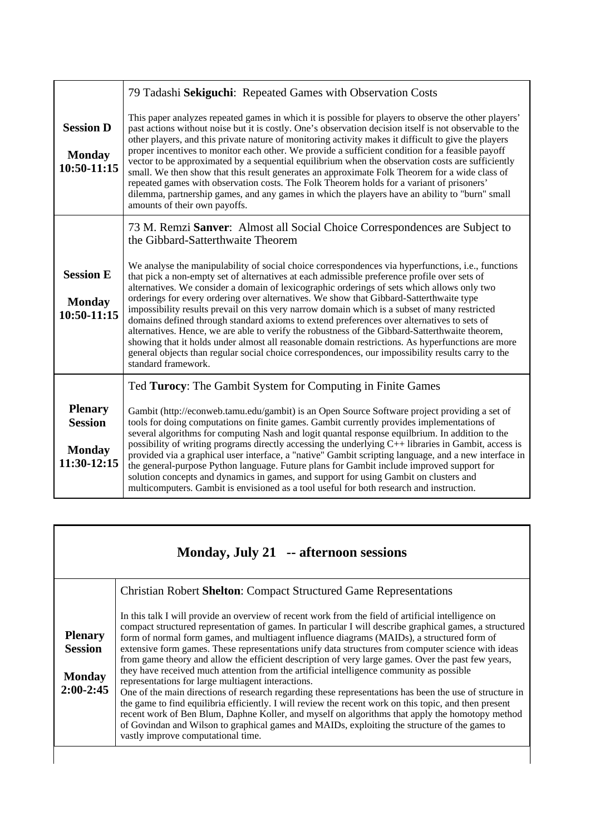|                                                                  | 79 Tadashi Sekiguchi: Repeated Games with Observation Costs                                                                                                                                                                                                                                                                                                                                                                                                                                                                                                                                                                                                                                                                                                                                                                                                                                                                      |
|------------------------------------------------------------------|----------------------------------------------------------------------------------------------------------------------------------------------------------------------------------------------------------------------------------------------------------------------------------------------------------------------------------------------------------------------------------------------------------------------------------------------------------------------------------------------------------------------------------------------------------------------------------------------------------------------------------------------------------------------------------------------------------------------------------------------------------------------------------------------------------------------------------------------------------------------------------------------------------------------------------|
| <b>Session D</b><br><b>Monday</b><br>10:50-11:15                 | This paper analyzes repeated games in which it is possible for players to observe the other players'<br>past actions without noise but it is costly. One's observation decision itself is not observable to the<br>other players, and this private nature of monitoring activity makes it difficult to give the players<br>proper incentives to monitor each other. We provide a sufficient condition for a feasible payoff<br>vector to be approximated by a sequential equilibrium when the observation costs are sufficiently<br>small. We then show that this result generates an approximate Folk Theorem for a wide class of<br>repeated games with observation costs. The Folk Theorem holds for a variant of prisoners'<br>dilemma, partnership games, and any games in which the players have an ability to "burn" small<br>amounts of their own payoffs.                                                               |
|                                                                  | 73 M. Remzi Sanver: Almost all Social Choice Correspondences are Subject to<br>the Gibbard-Satterthwaite Theorem                                                                                                                                                                                                                                                                                                                                                                                                                                                                                                                                                                                                                                                                                                                                                                                                                 |
| <b>Session E</b><br><b>Monday</b><br>$10:50-11:15$               | We analyse the manipulability of social choice correspondences via hyperfunctions, i.e., functions<br>that pick a non-empty set of alternatives at each admissible preference profile over sets of<br>alternatives. We consider a domain of lexicographic orderings of sets which allows only two<br>orderings for every ordering over alternatives. We show that Gibbard-Satterthwaite type<br>impossibility results prevail on this very narrow domain which is a subset of many restricted<br>domains defined through standard axioms to extend preferences over alternatives to sets of<br>alternatives. Hence, we are able to verify the robustness of the Gibbard-Satterthwaite theorem,<br>showing that it holds under almost all reasonable domain restrictions. As hyperfunctions are more<br>general objects than regular social choice correspondences, our impossibility results carry to the<br>standard framework. |
|                                                                  | Ted Turocy: The Gambit System for Computing in Finite Games                                                                                                                                                                                                                                                                                                                                                                                                                                                                                                                                                                                                                                                                                                                                                                                                                                                                      |
| <b>Plenary</b><br><b>Session</b><br><b>Monday</b><br>11:30-12:15 | Gambit (http://econweb.tamu.edu/gambit) is an Open Source Software project providing a set of<br>tools for doing computations on finite games. Gambit currently provides implementations of<br>several algorithms for computing Nash and logit quantal response equilbrium. In addition to the<br>possibility of writing programs directly accessing the underlying C++ libraries in Gambit, access is<br>provided via a graphical user interface, a "native" Gambit scripting language, and a new interface in<br>the general-purpose Python language. Future plans for Gambit include improved support for<br>solution concepts and dynamics in games, and support for using Gambit on clusters and<br>multicomputers. Gambit is envisioned as a tool useful for both research and instruction.                                                                                                                                |

| Monday, July 21 -- afternoon sessions                            |                                                                                                                                                                                                                                                                                                                                                                                                                                                                                                                                                                                                                                                                                                                                                                                                                                                                                                                                                                                                                                                                                                                                           |
|------------------------------------------------------------------|-------------------------------------------------------------------------------------------------------------------------------------------------------------------------------------------------------------------------------------------------------------------------------------------------------------------------------------------------------------------------------------------------------------------------------------------------------------------------------------------------------------------------------------------------------------------------------------------------------------------------------------------------------------------------------------------------------------------------------------------------------------------------------------------------------------------------------------------------------------------------------------------------------------------------------------------------------------------------------------------------------------------------------------------------------------------------------------------------------------------------------------------|
|                                                                  | <b>Christian Robert Shelton: Compact Structured Game Representations</b>                                                                                                                                                                                                                                                                                                                                                                                                                                                                                                                                                                                                                                                                                                                                                                                                                                                                                                                                                                                                                                                                  |
| <b>Plenary</b><br><b>Session</b><br><b>Monday</b><br>$2:00-2:45$ | In this talk I will provide an overview of recent work from the field of artificial intelligence on<br>compact structured representation of games. In particular I will describe graphical games, a structured<br>form of normal form games, and multiagent influence diagrams (MAIDs), a structured form of<br>extensive form games. These representations unify data structures from computer science with ideas<br>from game theory and allow the efficient description of very large games. Over the past few years,<br>they have received much attention from the artificial intelligence community as possible<br>representations for large multiagent interactions.<br>One of the main directions of research regarding these representations has been the use of structure in<br>the game to find equilibria efficiently. I will review the recent work on this topic, and then present<br>recent work of Ben Blum, Daphne Koller, and myself on algorithms that apply the homotopy method<br>of Govindan and Wilson to graphical games and MAIDs, exploiting the structure of the games to<br>vastly improve computational time. |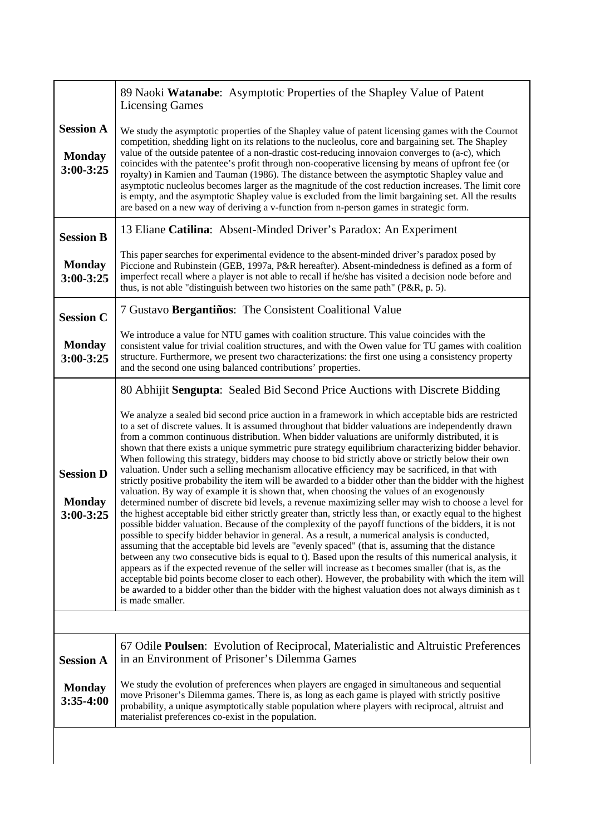|                                                    | 89 Naoki Watanabe: Asymptotic Properties of the Shapley Value of Patent<br><b>Licensing Games</b>                                                                                                                                                                                                                                                                                                                                                                                                                                                                                                                                                                                                                                                                                                                                                                                                                                                                                                                                                                                                                                                                                                                                                                                                                                                                                                                                                                                                                                                                                                                                                                                                                                                                                                                                                                                                                        |
|----------------------------------------------------|--------------------------------------------------------------------------------------------------------------------------------------------------------------------------------------------------------------------------------------------------------------------------------------------------------------------------------------------------------------------------------------------------------------------------------------------------------------------------------------------------------------------------------------------------------------------------------------------------------------------------------------------------------------------------------------------------------------------------------------------------------------------------------------------------------------------------------------------------------------------------------------------------------------------------------------------------------------------------------------------------------------------------------------------------------------------------------------------------------------------------------------------------------------------------------------------------------------------------------------------------------------------------------------------------------------------------------------------------------------------------------------------------------------------------------------------------------------------------------------------------------------------------------------------------------------------------------------------------------------------------------------------------------------------------------------------------------------------------------------------------------------------------------------------------------------------------------------------------------------------------------------------------------------------------|
| <b>Session A</b><br><b>Monday</b><br>$3:00 - 3:25$ | We study the asymptotic properties of the Shapley value of patent licensing games with the Cournot<br>competition, shedding light on its relations to the nucleolus, core and bargaining set. The Shapley<br>value of the outside patentee of a non-drastic cost-reducing innovaion converges to (a-c), which<br>coincides with the patentee's profit through non-cooperative licensing by means of upfront fee (or<br>royalty) in Kamien and Tauman (1986). The distance between the asymptotic Shapley value and<br>asymptotic nucleolus becomes larger as the magnitude of the cost reduction increases. The limit core<br>is empty, and the asymptotic Shapley value is excluded from the limit bargaining set. All the results<br>are based on a new way of deriving a v-function from n-person games in strategic form.                                                                                                                                                                                                                                                                                                                                                                                                                                                                                                                                                                                                                                                                                                                                                                                                                                                                                                                                                                                                                                                                                            |
| <b>Session B</b>                                   | 13 Eliane Catilina: Absent-Minded Driver's Paradox: An Experiment                                                                                                                                                                                                                                                                                                                                                                                                                                                                                                                                                                                                                                                                                                                                                                                                                                                                                                                                                                                                                                                                                                                                                                                                                                                                                                                                                                                                                                                                                                                                                                                                                                                                                                                                                                                                                                                        |
| <b>Monday</b><br>3:00-3:25                         | This paper searches for experimental evidence to the absent-minded driver's paradox posed by<br>Piccione and Rubinstein (GEB, 1997a, P&R hereafter). Absent-mindedness is defined as a form of<br>imperfect recall where a player is not able to recall if he/she has visited a decision node before and<br>thus, is not able "distinguish between two histories on the same path" (P&R, p. 5).                                                                                                                                                                                                                                                                                                                                                                                                                                                                                                                                                                                                                                                                                                                                                                                                                                                                                                                                                                                                                                                                                                                                                                                                                                                                                                                                                                                                                                                                                                                          |
| <b>Session C</b>                                   | 7 Gustavo Bergantiños: The Consistent Coalitional Value                                                                                                                                                                                                                                                                                                                                                                                                                                                                                                                                                                                                                                                                                                                                                                                                                                                                                                                                                                                                                                                                                                                                                                                                                                                                                                                                                                                                                                                                                                                                                                                                                                                                                                                                                                                                                                                                  |
| <b>Monday</b><br>$3:00 - 3:25$                     | We introduce a value for NTU games with coalition structure. This value coincides with the<br>consistent value for trivial coalition structures, and with the Owen value for TU games with coalition<br>structure. Furthermore, we present two characterizations: the first one using a consistency property<br>and the second one using balanced contributions' properties.                                                                                                                                                                                                                                                                                                                                                                                                                                                                                                                                                                                                                                                                                                                                                                                                                                                                                                                                                                                                                                                                                                                                                                                                                                                                                                                                                                                                                                                                                                                                             |
| <b>Session D</b><br><b>Monday</b><br>$3:00 - 3:25$ | 80 Abhijit Sengupta: Sealed Bid Second Price Auctions with Discrete Bidding<br>We analyze a sealed bid second price auction in a framework in which acceptable bids are restricted<br>to a set of discrete values. It is assumed throughout that bidder valuations are independently drawn<br>from a common continuous distribution. When bidder valuations are uniformly distributed, it is<br>shown that there exists a unique symmetric pure strategy equilibrium characterizing bidder behavior.<br>When following this strategy, bidders may choose to bid strictly above or strictly below their own<br>valuation. Under such a selling mechanism allocative efficiency may be sacrificed, in that with<br>strictly positive probability the item will be awarded to a bidder other than the bidder with the highest<br>valuation. By way of example it is shown that, when choosing the values of an exogenously<br>determined number of discrete bid levels, a revenue maximizing seller may wish to choose a level for<br>the highest acceptable bid either strictly greater than, strictly less than, or exactly equal to the highest<br>possible bidder valuation. Because of the complexity of the payoff functions of the bidders, it is not<br>possible to specify bidder behavior in general. As a result, a numerical analysis is conducted,<br>assuming that the acceptable bid levels are "evenly spaced" (that is, assuming that the distance<br>between any two consecutive bids is equal to t). Based upon the results of this numerical analysis, it<br>appears as if the expected revenue of the seller will increase as t becomes smaller (that is, as the<br>acceptable bid points become closer to each other). However, the probability with which the item will<br>be awarded to a bidder other than the bidder with the highest valuation does not always diminish as t<br>is made smaller. |
|                                                    |                                                                                                                                                                                                                                                                                                                                                                                                                                                                                                                                                                                                                                                                                                                                                                                                                                                                                                                                                                                                                                                                                                                                                                                                                                                                                                                                                                                                                                                                                                                                                                                                                                                                                                                                                                                                                                                                                                                          |
| <b>Session A</b>                                   | 67 Odile <b>Poulsen</b> : Evolution of Reciprocal, Materialistic and Altruistic Preferences<br>in an Environment of Prisoner's Dilemma Games                                                                                                                                                                                                                                                                                                                                                                                                                                                                                                                                                                                                                                                                                                                                                                                                                                                                                                                                                                                                                                                                                                                                                                                                                                                                                                                                                                                                                                                                                                                                                                                                                                                                                                                                                                             |
| <b>Monday</b><br>3:35-4:00                         | We study the evolution of preferences when players are engaged in simultaneous and sequential<br>move Prisoner's Dilemma games. There is, as long as each game is played with strictly positive<br>probability, a unique asymptotically stable population where players with reciprocal, altruist and<br>materialist preferences co-exist in the population.                                                                                                                                                                                                                                                                                                                                                                                                                                                                                                                                                                                                                                                                                                                                                                                                                                                                                                                                                                                                                                                                                                                                                                                                                                                                                                                                                                                                                                                                                                                                                             |
|                                                    |                                                                                                                                                                                                                                                                                                                                                                                                                                                                                                                                                                                                                                                                                                                                                                                                                                                                                                                                                                                                                                                                                                                                                                                                                                                                                                                                                                                                                                                                                                                                                                                                                                                                                                                                                                                                                                                                                                                          |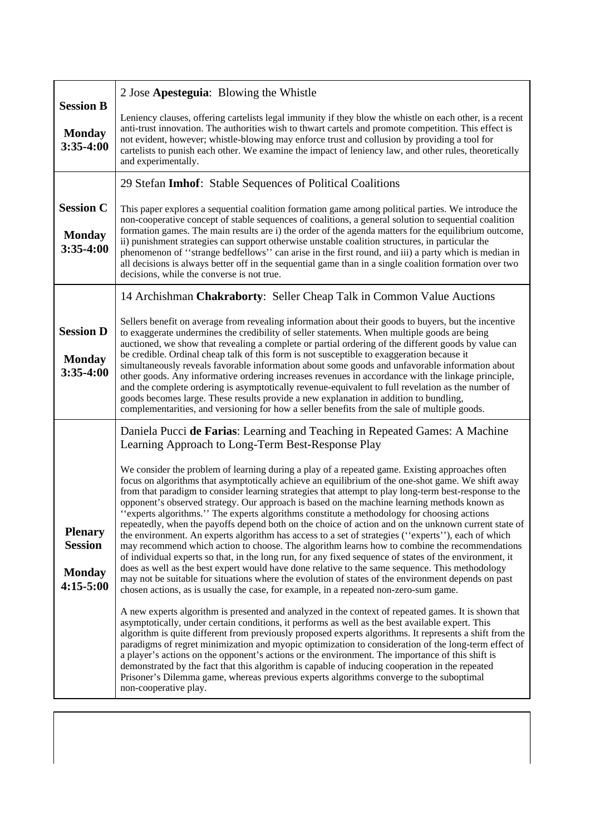| <b>Session B</b>                                                 | 2 Jose Apesteguia: Blowing the Whistle                                                                                                                                                                                                                                                                                                                                                                                                                                                                                                                                                                                                                                                                                                                                                                                                                                                                                                                                                                                                                                                                                                                                                                                                                                                                                                                                                                                                                                                                                                                                                                                                                                                                                                                                                                                                                                                                                                                                                                |
|------------------------------------------------------------------|-------------------------------------------------------------------------------------------------------------------------------------------------------------------------------------------------------------------------------------------------------------------------------------------------------------------------------------------------------------------------------------------------------------------------------------------------------------------------------------------------------------------------------------------------------------------------------------------------------------------------------------------------------------------------------------------------------------------------------------------------------------------------------------------------------------------------------------------------------------------------------------------------------------------------------------------------------------------------------------------------------------------------------------------------------------------------------------------------------------------------------------------------------------------------------------------------------------------------------------------------------------------------------------------------------------------------------------------------------------------------------------------------------------------------------------------------------------------------------------------------------------------------------------------------------------------------------------------------------------------------------------------------------------------------------------------------------------------------------------------------------------------------------------------------------------------------------------------------------------------------------------------------------------------------------------------------------------------------------------------------------|
| <b>Monday</b><br>3:35-4:00                                       | Leniency clauses, offering cartelists legal immunity if they blow the whistle on each other, is a recent<br>anti-trust innovation. The authorities wish to thwart cartels and promote competition. This effect is<br>not evident, however; whistle-blowing may enforce trust and collusion by providing a tool for<br>cartelists to punish each other. We examine the impact of leniency law, and other rules, theoretically<br>and experimentally.                                                                                                                                                                                                                                                                                                                                                                                                                                                                                                                                                                                                                                                                                                                                                                                                                                                                                                                                                                                                                                                                                                                                                                                                                                                                                                                                                                                                                                                                                                                                                   |
|                                                                  | 29 Stefan Imhof: Stable Sequences of Political Coalitions                                                                                                                                                                                                                                                                                                                                                                                                                                                                                                                                                                                                                                                                                                                                                                                                                                                                                                                                                                                                                                                                                                                                                                                                                                                                                                                                                                                                                                                                                                                                                                                                                                                                                                                                                                                                                                                                                                                                             |
| <b>Session C</b><br><b>Monday</b><br>3:35-4:00                   | This paper explores a sequential coalition formation game among political parties. We introduce the<br>non-cooperative concept of stable sequences of coalitions, a general solution to sequential coalition<br>formation games. The main results are i) the order of the agenda matters for the equilibrium outcome,<br>ii) punishment strategies can support otherwise unstable coalition structures, in particular the<br>phenomenon of "strange bedfellows" can arise in the first round, and iii) a party which is median in<br>all decisions is always better off in the sequential game than in a single coalition formation over two<br>decisions, while the converse is not true.                                                                                                                                                                                                                                                                                                                                                                                                                                                                                                                                                                                                                                                                                                                                                                                                                                                                                                                                                                                                                                                                                                                                                                                                                                                                                                            |
|                                                                  | 14 Archishman Chakraborty: Seller Cheap Talk in Common Value Auctions                                                                                                                                                                                                                                                                                                                                                                                                                                                                                                                                                                                                                                                                                                                                                                                                                                                                                                                                                                                                                                                                                                                                                                                                                                                                                                                                                                                                                                                                                                                                                                                                                                                                                                                                                                                                                                                                                                                                 |
| <b>Session D</b><br><b>Monday</b><br>$3:35-4:00$                 | Sellers benefit on average from revealing information about their goods to buyers, but the incentive<br>to exaggerate undermines the credibility of seller statements. When multiple goods are being<br>auctioned, we show that revealing a complete or partial ordering of the different goods by value can<br>be credible. Ordinal cheap talk of this form is not susceptible to exaggeration because it<br>simultaneously reveals favorable information about some goods and unfavorable information about<br>other goods. Any informative ordering increases revenues in accordance with the linkage principle,<br>and the complete ordering is asymptotically revenue-equivalent to full revelation as the number of<br>goods becomes large. These results provide a new explanation in addition to bundling,<br>complementarities, and versioning for how a seller benefits from the sale of multiple goods.                                                                                                                                                                                                                                                                                                                                                                                                                                                                                                                                                                                                                                                                                                                                                                                                                                                                                                                                                                                                                                                                                    |
|                                                                  | Daniela Pucci de Farias: Learning and Teaching in Repeated Games: A Machine<br>Learning Approach to Long-Term Best-Response Play                                                                                                                                                                                                                                                                                                                                                                                                                                                                                                                                                                                                                                                                                                                                                                                                                                                                                                                                                                                                                                                                                                                                                                                                                                                                                                                                                                                                                                                                                                                                                                                                                                                                                                                                                                                                                                                                      |
| <b>Plenary</b><br><b>Session</b><br><b>Monday</b><br>$4:15-5:00$ | We consider the problem of learning during a play of a repeated game. Existing approaches often<br>focus on algorithms that asymptotically achieve an equilibrium of the one-shot game. We shift away<br>from that paradigm to consider learning strategies that attempt to play long-term best-response to the<br>opponent's observed strategy. Our approach is based on the machine learning methods known as<br>"experts algorithms." The experts algorithms constitute a methodology for choosing actions<br>repeatedly, when the payoffs depend both on the choice of action and on the unknown current state of<br>the environment. An experts algorithm has access to a set of strategies ("experts"), each of which<br>may recommend which action to choose. The algorithm learns how to combine the recommendations<br>of individual experts so that, in the long run, for any fixed sequence of states of the environment, it<br>does as well as the best expert would have done relative to the same sequence. This methodology<br>may not be suitable for situations where the evolution of states of the environment depends on past<br>chosen actions, as is usually the case, for example, in a repeated non-zero-sum game.<br>A new experts algorithm is presented and analyzed in the context of repeated games. It is shown that<br>asymptotically, under certain conditions, it performs as well as the best available expert. This<br>algorithm is quite different from previously proposed experts algorithms. It represents a shift from the<br>paradigms of regret minimization and myopic optimization to consideration of the long-term effect of<br>a player's actions on the opponent's actions or the environment. The importance of this shift is<br>demonstrated by the fact that this algorithm is capable of inducing cooperation in the repeated<br>Prisoner's Dilemma game, whereas previous experts algorithms converge to the suboptimal<br>non-cooperative play. |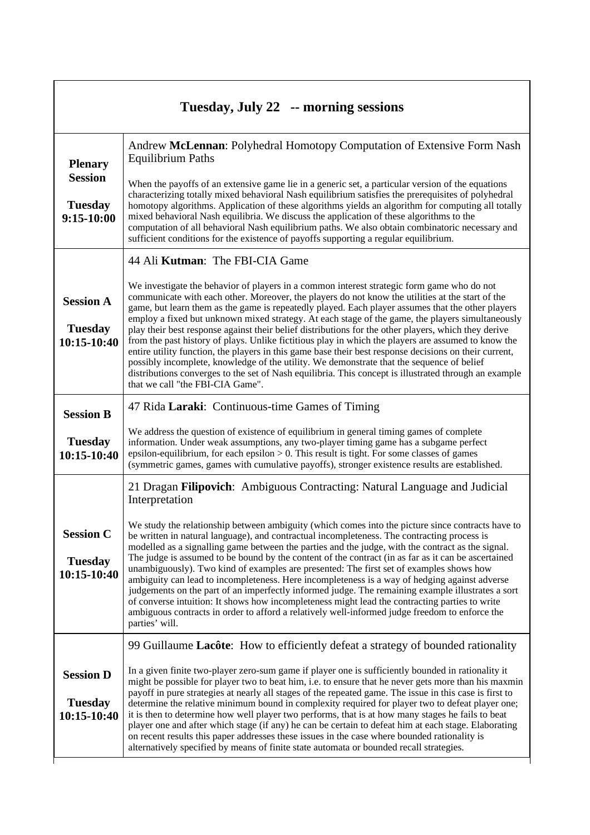| Tuesday, July 22 -- morning sessions                |                                                                                                                                                                                                                                                                                                                                                                                                                                                                                                                                                                                                                                                                                                                                                                                                                                                                                                                                                                            |
|-----------------------------------------------------|----------------------------------------------------------------------------------------------------------------------------------------------------------------------------------------------------------------------------------------------------------------------------------------------------------------------------------------------------------------------------------------------------------------------------------------------------------------------------------------------------------------------------------------------------------------------------------------------------------------------------------------------------------------------------------------------------------------------------------------------------------------------------------------------------------------------------------------------------------------------------------------------------------------------------------------------------------------------------|
| <b>Plenary</b><br><b>Session</b>                    | Andrew McLennan: Polyhedral Homotopy Computation of Extensive Form Nash<br><b>Equilibrium Paths</b><br>When the payoffs of an extensive game lie in a generic set, a particular version of the equations<br>characterizing totally mixed behavioral Nash equilibrium satisfies the prerequisites of polyhedral                                                                                                                                                                                                                                                                                                                                                                                                                                                                                                                                                                                                                                                             |
| <b>Tuesday</b><br>$9:15-10:00$                      | homotopy algorithms. Application of these algorithms yields an algorithm for computing all totally<br>mixed behavioral Nash equilibria. We discuss the application of these algorithms to the<br>computation of all behavioral Nash equilibrium paths. We also obtain combinatoric necessary and<br>sufficient conditions for the existence of payoffs supporting a regular equilibrium.                                                                                                                                                                                                                                                                                                                                                                                                                                                                                                                                                                                   |
|                                                     | 44 Ali Kutman: The FBI-CIA Game                                                                                                                                                                                                                                                                                                                                                                                                                                                                                                                                                                                                                                                                                                                                                                                                                                                                                                                                            |
| <b>Session A</b><br><b>Tuesday</b><br>$10:15-10:40$ | We investigate the behavior of players in a common interest strategic form game who do not<br>communicate with each other. Moreover, the players do not know the utilities at the start of the<br>game, but learn them as the game is repeatedly played. Each player assumes that the other players<br>employ a fixed but unknown mixed strategy. At each stage of the game, the players simultaneously<br>play their best response against their belief distributions for the other players, which they derive<br>from the past history of plays. Unlike fictitious play in which the players are assumed to know the<br>entire utility function, the players in this game base their best response decisions on their current,<br>possibly incomplete, knowledge of the utility. We demonstrate that the sequence of belief<br>distributions converges to the set of Nash equilibria. This concept is illustrated through an example<br>that we call "the FBI-CIA Game". |
| <b>Session B</b>                                    | 47 Rida Laraki: Continuous-time Games of Timing                                                                                                                                                                                                                                                                                                                                                                                                                                                                                                                                                                                                                                                                                                                                                                                                                                                                                                                            |
| <b>Tuesday</b><br>10:15-10:40                       | We address the question of existence of equilibrium in general timing games of complete<br>information. Under weak assumptions, any two-player timing game has a subgame perfect<br>epsilon-equilibrium, for each epsilon $> 0$ . This result is tight. For some classes of games<br>(symmetric games, games with cumulative payoffs), stronger existence results are established.                                                                                                                                                                                                                                                                                                                                                                                                                                                                                                                                                                                         |
|                                                     | 21 Dragan Filipovich: Ambiguous Contracting: Natural Language and Judicial<br>Interpretation                                                                                                                                                                                                                                                                                                                                                                                                                                                                                                                                                                                                                                                                                                                                                                                                                                                                               |
| <b>Session C</b><br><b>Tuesday</b><br>10:15-10:40   | We study the relationship between ambiguity (which comes into the picture since contracts have to<br>be written in natural language), and contractual incompleteness. The contracting process is<br>modelled as a signalling game between the parties and the judge, with the contract as the signal.<br>The judge is assumed to be bound by the content of the contract (in as far as it can be ascertained<br>unambiguously). Two kind of examples are presented: The first set of examples shows how<br>ambiguity can lead to incompleteness. Here incompleteness is a way of hedging against adverse<br>judgements on the part of an imperfectly informed judge. The remaining example illustrates a sort<br>of converse intuition: It shows how incompleteness might lead the contracting parties to write<br>ambiguous contracts in order to afford a relatively well-informed judge freedom to enforce the<br>parties' will.                                        |
|                                                     | 99 Guillaume Lacôte: How to efficiently defeat a strategy of bounded rationality                                                                                                                                                                                                                                                                                                                                                                                                                                                                                                                                                                                                                                                                                                                                                                                                                                                                                           |
| <b>Session D</b><br><b>Tuesday</b><br>10:15-10:40   | In a given finite two-player zero-sum game if player one is sufficiently bounded in rationality it<br>might be possible for player two to beat him, i.e. to ensure that he never gets more than his maxmin<br>payoff in pure strategies at nearly all stages of the repeated game. The issue in this case is first to<br>determine the relative minimum bound in complexity required for player two to defeat player one;<br>it is then to determine how well player two performs, that is at how many stages he fails to beat<br>player one and after which stage (if any) he can be certain to defeat him at each stage. Elaborating<br>on recent results this paper addresses these issues in the case where bounded rationality is<br>alternatively specified by means of finite state automata or bounded recall strategies.                                                                                                                                          |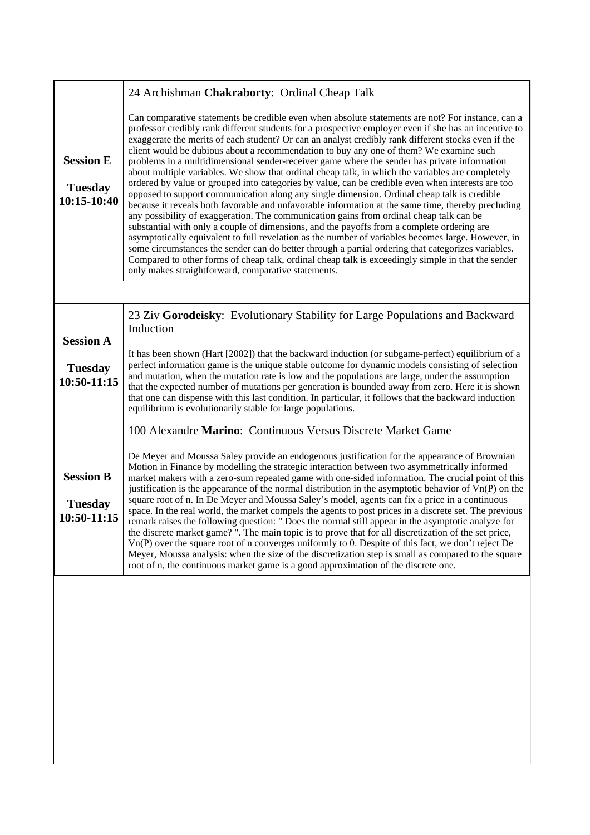|                                                   | 24 Archishman Chakraborty: Ordinal Cheap Talk                                                                                                                                                                                                                                                                                                                                                                                                                                                                                                                                                                                                                                                                                                                                                                                                                                                                                                                                                                                                                                                                                                                                                                                                                                                                                                                                                                                                                                               |  |
|---------------------------------------------------|---------------------------------------------------------------------------------------------------------------------------------------------------------------------------------------------------------------------------------------------------------------------------------------------------------------------------------------------------------------------------------------------------------------------------------------------------------------------------------------------------------------------------------------------------------------------------------------------------------------------------------------------------------------------------------------------------------------------------------------------------------------------------------------------------------------------------------------------------------------------------------------------------------------------------------------------------------------------------------------------------------------------------------------------------------------------------------------------------------------------------------------------------------------------------------------------------------------------------------------------------------------------------------------------------------------------------------------------------------------------------------------------------------------------------------------------------------------------------------------------|--|
| <b>Session E</b><br><b>Tuesday</b><br>10:15-10:40 | Can comparative statements be credible even when absolute statements are not? For instance, can a<br>professor credibly rank different students for a prospective employer even if she has an incentive to<br>exaggerate the merits of each student? Or can an analyst credibly rank different stocks even if the<br>client would be dubious about a recommendation to buy any one of them? We examine such<br>problems in a multidimensional sender-receiver game where the sender has private information<br>about multiple variables. We show that ordinal cheap talk, in which the variables are completely<br>ordered by value or grouped into categories by value, can be credible even when interests are too<br>opposed to support communication along any single dimension. Ordinal cheap talk is credible<br>because it reveals both favorable and unfavorable information at the same time, thereby precluding<br>any possibility of exaggeration. The communication gains from ordinal cheap talk can be<br>substantial with only a couple of dimensions, and the payoffs from a complete ordering are<br>asymptotically equivalent to full revelation as the number of variables becomes large. However, in<br>some circumstances the sender can do better through a partial ordering that categorizes variables.<br>Compared to other forms of cheap talk, ordinal cheap talk is exceedingly simple in that the sender<br>only makes straightforward, comparative statements. |  |
|                                                   |                                                                                                                                                                                                                                                                                                                                                                                                                                                                                                                                                                                                                                                                                                                                                                                                                                                                                                                                                                                                                                                                                                                                                                                                                                                                                                                                                                                                                                                                                             |  |
| <b>Session A</b>                                  | 23 Ziv Gorodeisky: Evolutionary Stability for Large Populations and Backward<br>Induction                                                                                                                                                                                                                                                                                                                                                                                                                                                                                                                                                                                                                                                                                                                                                                                                                                                                                                                                                                                                                                                                                                                                                                                                                                                                                                                                                                                                   |  |
| <b>Tuesday</b><br>10:50-11:15                     | It has been shown (Hart [2002]) that the backward induction (or subgame-perfect) equilibrium of a<br>perfect information game is the unique stable outcome for dynamic models consisting of selection<br>and mutation, when the mutation rate is low and the populations are large, under the assumption<br>that the expected number of mutations per generation is bounded away from zero. Here it is shown<br>that one can dispense with this last condition. In particular, it follows that the backward induction<br>equilibrium is evolutionarily stable for large populations.                                                                                                                                                                                                                                                                                                                                                                                                                                                                                                                                                                                                                                                                                                                                                                                                                                                                                                        |  |
|                                                   | 100 Alexandre Marino: Continuous Versus Discrete Market Game                                                                                                                                                                                                                                                                                                                                                                                                                                                                                                                                                                                                                                                                                                                                                                                                                                                                                                                                                                                                                                                                                                                                                                                                                                                                                                                                                                                                                                |  |
| <b>Session B</b><br><b>Tuesday</b><br>10:50-11:15 | De Meyer and Moussa Saley provide an endogenous justification for the appearance of Brownian<br>Motion in Finance by modelling the strategic interaction between two asymmetrically informed<br>market makers with a zero-sum repeated game with one-sided information. The crucial point of this<br>justification is the appearance of the normal distribution in the asymptotic behavior of $Vn(P)$ on the<br>square root of n. In De Meyer and Moussa Saley's model, agents can fix a price in a continuous<br>space. In the real world, the market compels the agents to post prices in a discrete set. The previous<br>remark raises the following question: " Does the normal still appear in the asymptotic analyze for<br>the discrete market game?". The main topic is to prove that for all discretization of the set price,<br>$Vn(P)$ over the square root of n converges uniformly to 0. Despite of this fact, we don't reject De<br>Meyer, Moussa analysis: when the size of the discretization step is small as compared to the square<br>root of n, the continuous market game is a good approximation of the discrete one.                                                                                                                                                                                                                                                                                                                                                 |  |
|                                                   |                                                                                                                                                                                                                                                                                                                                                                                                                                                                                                                                                                                                                                                                                                                                                                                                                                                                                                                                                                                                                                                                                                                                                                                                                                                                                                                                                                                                                                                                                             |  |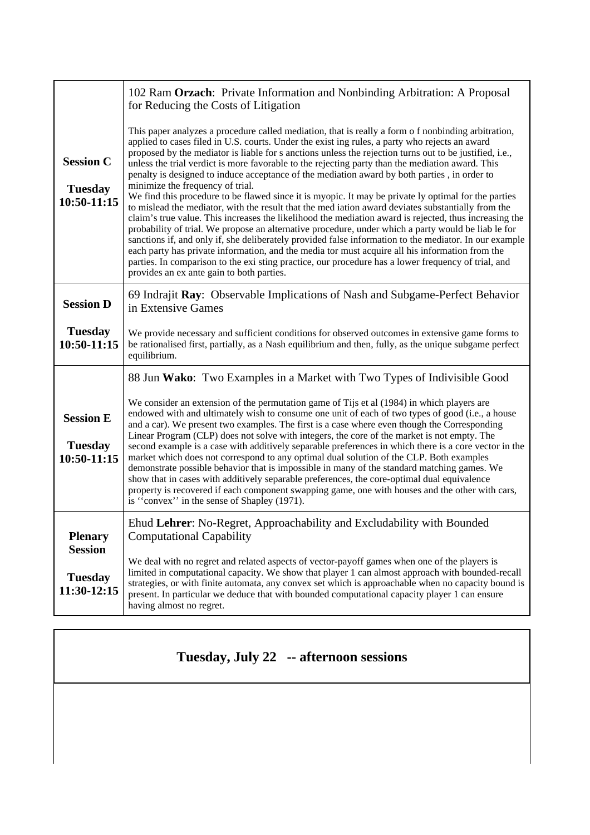|                                                   | 102 Ram Orzach: Private Information and Nonbinding Arbitration: A Proposal<br>for Reducing the Costs of Litigation                                                                                                                                                                                                                                                                                                                                                                                                                                                                                                                                                                                                                                                                                                                                                                                                                                                                                                                                                                                                                                                                                                                                                                                                                                      |
|---------------------------------------------------|---------------------------------------------------------------------------------------------------------------------------------------------------------------------------------------------------------------------------------------------------------------------------------------------------------------------------------------------------------------------------------------------------------------------------------------------------------------------------------------------------------------------------------------------------------------------------------------------------------------------------------------------------------------------------------------------------------------------------------------------------------------------------------------------------------------------------------------------------------------------------------------------------------------------------------------------------------------------------------------------------------------------------------------------------------------------------------------------------------------------------------------------------------------------------------------------------------------------------------------------------------------------------------------------------------------------------------------------------------|
| <b>Session C</b><br><b>Tuesday</b><br>10:50-11:15 | This paper analyzes a procedure called mediation, that is really a form of nonbinding arbitration,<br>applied to cases filed in U.S. courts. Under the exist ing rules, a party who rejects an award<br>proposed by the mediator is liable for s anctions unless the rejection turns out to be justified, i.e.,<br>unless the trial verdict is more favorable to the rejecting party than the mediation award. This<br>penalty is designed to induce acceptance of the mediation award by both parties, in order to<br>minimize the frequency of trial.<br>We find this procedure to be flawed since it is myopic. It may be private ly optimal for the parties<br>to mislead the mediator, with the result that the med iation award deviates substantially from the<br>claim's true value. This increases the likelihood the mediation award is rejected, thus increasing the<br>probability of trial. We propose an alternative procedure, under which a party would be liab le for<br>sanctions if, and only if, she deliberately provided false information to the mediator. In our example<br>each party has private information, and the media tor must acquire all his information from the<br>parties. In comparison to the exi sting practice, our procedure has a lower frequency of trial, and<br>provides an ex ante gain to both parties. |
| <b>Session D</b>                                  | 69 Indrajit Ray: Observable Implications of Nash and Subgame-Perfect Behavior<br>in Extensive Games                                                                                                                                                                                                                                                                                                                                                                                                                                                                                                                                                                                                                                                                                                                                                                                                                                                                                                                                                                                                                                                                                                                                                                                                                                                     |
| <b>Tuesday</b><br>$10:50-11:15$                   | We provide necessary and sufficient conditions for observed outcomes in extensive game forms to<br>be rationalised first, partially, as a Nash equilibrium and then, fully, as the unique subgame perfect<br>equilibrium.                                                                                                                                                                                                                                                                                                                                                                                                                                                                                                                                                                                                                                                                                                                                                                                                                                                                                                                                                                                                                                                                                                                               |
|                                                   | 88 Jun Wako: Two Examples in a Market with Two Types of Indivisible Good                                                                                                                                                                                                                                                                                                                                                                                                                                                                                                                                                                                                                                                                                                                                                                                                                                                                                                                                                                                                                                                                                                                                                                                                                                                                                |
| <b>Session E</b><br><b>Tuesday</b><br>10:50-11:15 | We consider an extension of the permutation game of Tijs et al (1984) in which players are<br>endowed with and ultimately wish to consume one unit of each of two types of good (i.e., a house<br>and a car). We present two examples. The first is a case where even though the Corresponding<br>Linear Program (CLP) does not solve with integers, the core of the market is not empty. The<br>second example is a case with additively separable preferences in which there is a core vector in the<br>market which does not correspond to any optimal dual solution of the CLP. Both examples<br>demonstrate possible behavior that is impossible in many of the standard matching games. We<br>show that in cases with additively separable preferences, the core-optimal dual equivalence<br>property is recovered if each component swapping game, one with houses and the other with cars,<br>is "convex" in the sense of Shapley (1971).                                                                                                                                                                                                                                                                                                                                                                                                       |
| <b>Plenary</b>                                    | Ehud Lehrer: No-Regret, Approachability and Excludability with Bounded<br><b>Computational Capability</b>                                                                                                                                                                                                                                                                                                                                                                                                                                                                                                                                                                                                                                                                                                                                                                                                                                                                                                                                                                                                                                                                                                                                                                                                                                               |
| <b>Session</b><br><b>Tuesday</b><br>11:30-12:15   | We deal with no regret and related aspects of vector-payoff games when one of the players is<br>limited in computational capacity. We show that player 1 can almost approach with bounded-recall<br>strategies, or with finite automata, any convex set which is approachable when no capacity bound is<br>present. In particular we deduce that with bounded computational capacity player 1 can ensure<br>having almost no regret.                                                                                                                                                                                                                                                                                                                                                                                                                                                                                                                                                                                                                                                                                                                                                                                                                                                                                                                    |

## **Tuesday, July 22 -- afternoon sessions**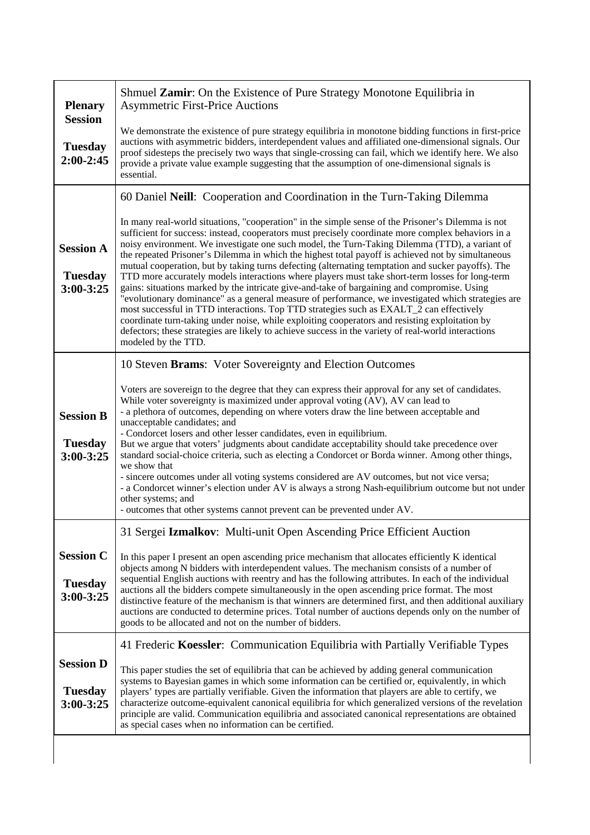| <b>Plenary</b><br><b>Session</b>                    | Shmuel Zamir: On the Existence of Pure Strategy Monotone Equilibria in<br><b>Asymmetric First-Price Auctions</b>                                                                                                                                                                                                                                                                                                                                                                                                                                                                                                                                                                                                                                                                                                                                                                                                                                                                                                                                                                                                                                       |
|-----------------------------------------------------|--------------------------------------------------------------------------------------------------------------------------------------------------------------------------------------------------------------------------------------------------------------------------------------------------------------------------------------------------------------------------------------------------------------------------------------------------------------------------------------------------------------------------------------------------------------------------------------------------------------------------------------------------------------------------------------------------------------------------------------------------------------------------------------------------------------------------------------------------------------------------------------------------------------------------------------------------------------------------------------------------------------------------------------------------------------------------------------------------------------------------------------------------------|
| <b>Tuesday</b><br>2:00-2:45                         | We demonstrate the existence of pure strategy equilibria in monotone bidding functions in first-price<br>auctions with asymmetric bidders, interdependent values and affiliated one-dimensional signals. Our<br>proof sidesteps the precisely two ways that single-crossing can fail, which we identify here. We also<br>provide a private value example suggesting that the assumption of one-dimensional signals is<br>essential.                                                                                                                                                                                                                                                                                                                                                                                                                                                                                                                                                                                                                                                                                                                    |
|                                                     | 60 Daniel Neill: Cooperation and Coordination in the Turn-Taking Dilemma                                                                                                                                                                                                                                                                                                                                                                                                                                                                                                                                                                                                                                                                                                                                                                                                                                                                                                                                                                                                                                                                               |
| <b>Session A</b><br><b>Tuesday</b><br>$3:00 - 3:25$ | In many real-world situations, "cooperation" in the simple sense of the Prisoner's Dilemma is not<br>sufficient for success: instead, cooperators must precisely coordinate more complex behaviors in a<br>noisy environment. We investigate one such model, the Turn-Taking Dilemma (TTD), a variant of<br>the repeated Prisoner's Dilemma in which the highest total payoff is achieved not by simultaneous<br>mutual cooperation, but by taking turns defecting (alternating temptation and sucker payoffs). The<br>TTD more accurately models interactions where players must take short-term losses for long-term<br>gains: situations marked by the intricate give-and-take of bargaining and compromise. Using<br>"evolutionary dominance" as a general measure of performance, we investigated which strategies are<br>most successful in TTD interactions. Top TTD strategies such as EXALT_2 can effectively<br>coordinate turn-taking under noise, while exploiting cooperators and resisting exploitation by<br>defectors; these strategies are likely to achieve success in the variety of real-world interactions<br>modeled by the TTD. |
|                                                     | 10 Steven Brams: Voter Sovereignty and Election Outcomes                                                                                                                                                                                                                                                                                                                                                                                                                                                                                                                                                                                                                                                                                                                                                                                                                                                                                                                                                                                                                                                                                               |
| <b>Session B</b><br><b>Tuesday</b><br>3:00-3:25     | Voters are sovereign to the degree that they can express their approval for any set of candidates.<br>While voter sovereignty is maximized under approval voting (AV), AV can lead to<br>- a plethora of outcomes, depending on where voters draw the line between acceptable and<br>unacceptable candidates; and<br>- Condorcet losers and other lesser candidates, even in equilibrium.<br>But we argue that voters' judgments about candidate acceptability should take precedence over<br>standard social-choice criteria, such as electing a Condorcet or Borda winner. Among other things,<br>we show that<br>- sincere outcomes under all voting systems considered are AV outcomes, but not vice versa;<br>- a Condorcet winner's election under AV is always a strong Nash-equilibrium outcome but not under<br>other systems; and<br>- outcomes that other systems cannot prevent can be prevented under AV.                                                                                                                                                                                                                                 |
|                                                     | 31 Sergei Izmalkov: Multi-unit Open Ascending Price Efficient Auction                                                                                                                                                                                                                                                                                                                                                                                                                                                                                                                                                                                                                                                                                                                                                                                                                                                                                                                                                                                                                                                                                  |
| <b>Session C</b><br><b>Tuesday</b><br>3:00-3:25     | In this paper I present an open ascending price mechanism that allocates efficiently K identical<br>objects among N bidders with interdependent values. The mechanism consists of a number of<br>sequential English auctions with reentry and has the following attributes. In each of the individual<br>auctions all the bidders compete simultaneously in the open ascending price format. The most<br>distinctive feature of the mechanism is that winners are determined first, and then additional auxiliary<br>auctions are conducted to determine prices. Total number of auctions depends only on the number of<br>goods to be allocated and not on the number of bidders.                                                                                                                                                                                                                                                                                                                                                                                                                                                                     |
|                                                     | 41 Frederic Koessler: Communication Equilibria with Partially Verifiable Types                                                                                                                                                                                                                                                                                                                                                                                                                                                                                                                                                                                                                                                                                                                                                                                                                                                                                                                                                                                                                                                                         |
| <b>Session D</b><br><b>Tuesday</b><br>3:00-3:25     | This paper studies the set of equilibria that can be achieved by adding general communication<br>systems to Bayesian games in which some information can be certified or, equivalently, in which<br>players' types are partially verifiable. Given the information that players are able to certify, we<br>characterize outcome-equivalent canonical equilibria for which generalized versions of the revelation<br>principle are valid. Communication equilibria and associated canonical representations are obtained<br>as special cases when no information can be certified.                                                                                                                                                                                                                                                                                                                                                                                                                                                                                                                                                                      |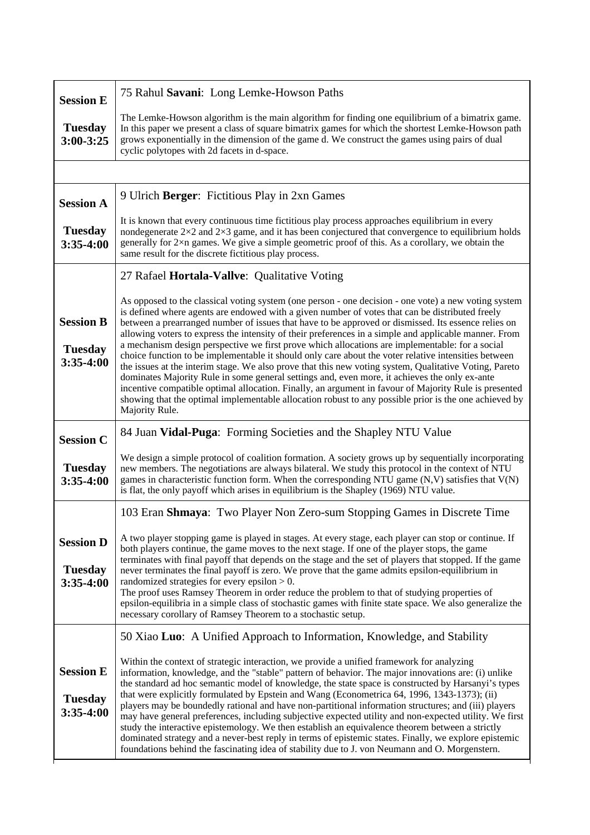| <b>Session E</b>                                  | 75 Rahul Savani: Long Lemke-Howson Paths                                                                                                                                                                                                                                                                                                                                                                                                                                                                                                                                                                                                                                                                                                                                                                                                                                                                                                                                                                                                                                          |
|---------------------------------------------------|-----------------------------------------------------------------------------------------------------------------------------------------------------------------------------------------------------------------------------------------------------------------------------------------------------------------------------------------------------------------------------------------------------------------------------------------------------------------------------------------------------------------------------------------------------------------------------------------------------------------------------------------------------------------------------------------------------------------------------------------------------------------------------------------------------------------------------------------------------------------------------------------------------------------------------------------------------------------------------------------------------------------------------------------------------------------------------------|
| <b>Tuesday</b><br>$3:00 - 3:25$                   | The Lemke-Howson algorithm is the main algorithm for finding one equilibrium of a bimatrix game.<br>In this paper we present a class of square bimatrix games for which the shortest Lemke-Howson path<br>grows exponentially in the dimension of the game d. We construct the games using pairs of dual<br>cyclic polytopes with 2d facets in d-space.                                                                                                                                                                                                                                                                                                                                                                                                                                                                                                                                                                                                                                                                                                                           |
|                                                   |                                                                                                                                                                                                                                                                                                                                                                                                                                                                                                                                                                                                                                                                                                                                                                                                                                                                                                                                                                                                                                                                                   |
| <b>Session A</b>                                  | 9 Ulrich Berger: Fictitious Play in 2xn Games                                                                                                                                                                                                                                                                                                                                                                                                                                                                                                                                                                                                                                                                                                                                                                                                                                                                                                                                                                                                                                     |
| <b>Tuesday</b><br>$3:35-4:00$                     | It is known that every continuous time fictitious play process approaches equilibrium in every<br>nondegenerate $2\times 2$ and $2\times 3$ game, and it has been conjectured that convergence to equilibrium holds<br>generally for 2×n games. We give a simple geometric proof of this. As a corollary, we obtain the<br>same result for the discrete fictitious play process.                                                                                                                                                                                                                                                                                                                                                                                                                                                                                                                                                                                                                                                                                                  |
|                                                   | 27 Rafael Hortala-Vallve: Qualitative Voting                                                                                                                                                                                                                                                                                                                                                                                                                                                                                                                                                                                                                                                                                                                                                                                                                                                                                                                                                                                                                                      |
| <b>Session B</b><br><b>Tuesday</b><br>$3:35-4:00$ | As opposed to the classical voting system (one person - one decision - one vote) a new voting system<br>is defined where agents are endowed with a given number of votes that can be distributed freely<br>between a prearranged number of issues that have to be approved or dismissed. Its essence relies on<br>allowing voters to express the intensity of their preferences in a simple and applicable manner. From<br>a mechanism design perspective we first prove which allocations are implementable: for a social<br>choice function to be implementable it should only care about the voter relative intensities between<br>the issues at the interim stage. We also prove that this new voting system, Qualitative Voting, Pareto<br>dominates Majority Rule in some general settings and, even more, it achieves the only ex-ante<br>incentive compatible optimal allocation. Finally, an argument in favour of Majority Rule is presented<br>showing that the optimal implementable allocation robust to any possible prior is the one achieved by<br>Majority Rule. |
| <b>Session C</b>                                  | 84 Juan Vidal-Puga: Forming Societies and the Shapley NTU Value                                                                                                                                                                                                                                                                                                                                                                                                                                                                                                                                                                                                                                                                                                                                                                                                                                                                                                                                                                                                                   |
| <b>Tuesday</b><br>$3:35-4:00$                     | We design a simple protocol of coalition formation. A society grows up by sequentially incorporating<br>new members. The negotiations are always bilateral. We study this protocol in the context of NTU<br>games in characteristic function form. When the corresponding NTU game $(N, V)$ satisfies that $V(N)$<br>is flat, the only payoff which arises in equilibrium is the Shapley (1969) NTU value.                                                                                                                                                                                                                                                                                                                                                                                                                                                                                                                                                                                                                                                                        |
|                                                   | 103 Eran Shmaya: Two Player Non Zero-sum Stopping Games in Discrete Time                                                                                                                                                                                                                                                                                                                                                                                                                                                                                                                                                                                                                                                                                                                                                                                                                                                                                                                                                                                                          |
| <b>Session D</b><br><b>Tuesday</b><br>$3:35-4:00$ | A two player stopping game is played in stages. At every stage, each player can stop or continue. If<br>both players continue, the game moves to the next stage. If one of the player stops, the game<br>terminates with final payoff that depends on the stage and the set of players that stopped. If the game<br>never terminates the final payoff is zero. We prove that the game admits epsilon-equilibrium in<br>randomized strategies for every epsilon $> 0$ .<br>The proof uses Ramsey Theorem in order reduce the problem to that of studying properties of<br>epsilon-equilibria in a simple class of stochastic games with finite state space. We also generalize the<br>necessary corollary of Ramsey Theorem to a stochastic setup.                                                                                                                                                                                                                                                                                                                                 |
|                                                   | 50 Xiao Luo: A Unified Approach to Information, Knowledge, and Stability                                                                                                                                                                                                                                                                                                                                                                                                                                                                                                                                                                                                                                                                                                                                                                                                                                                                                                                                                                                                          |
| <b>Session E</b><br><b>Tuesday</b><br>$3:35-4:00$ | Within the context of strategic interaction, we provide a unified framework for analyzing<br>information, knowledge, and the "stable" pattern of behavior. The major innovations are: (i) unlike<br>the standard ad hoc semantic model of knowledge, the state space is constructed by Harsanyi's types<br>that were explicitly formulated by Epstein and Wang (Econometrica 64, 1996, 1343-1373); (ii)<br>players may be boundedly rational and have non-partitional information structures; and (iii) players<br>may have general preferences, including subjective expected utility and non-expected utility. We first<br>study the interactive epistemology. We then establish an equivalence theorem between a strictly<br>dominated strategy and a never-best reply in terms of epistemic states. Finally, we explore epistemic<br>foundations behind the fascinating idea of stability due to J. von Neumann and O. Morgenstern.                                                                                                                                           |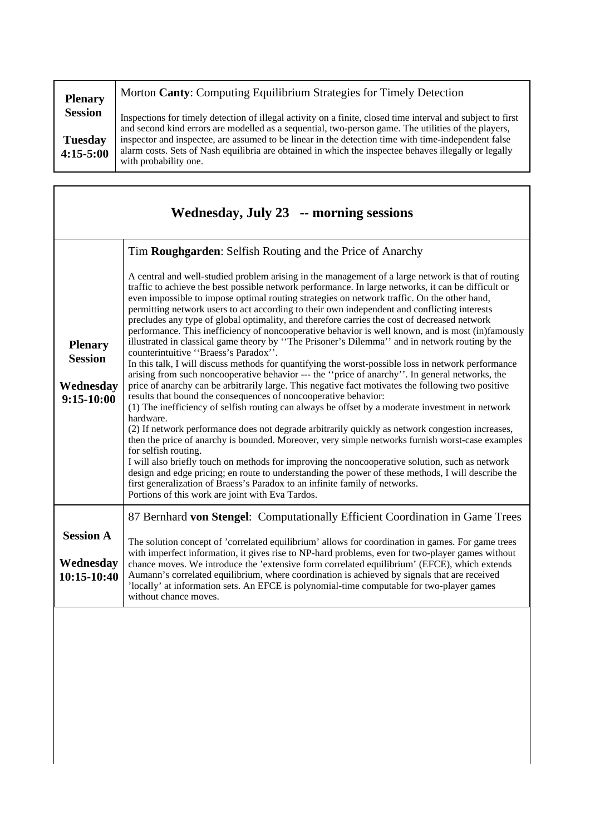| <b>Plenary</b>                | Morton Canty: Computing Equilibrium Strategies for Timely Detection                                                                                                                                                                   |
|-------------------------------|---------------------------------------------------------------------------------------------------------------------------------------------------------------------------------------------------------------------------------------|
| <b>Session</b>                | Inspections for timely detection of illegal activity on a finite, closed time interval and subject to first<br>and second kind errors are modelled as a sequential, two-person game. The utilities of the players,                    |
| <b>Tuesday</b><br>$4:15-5:00$ | inspector and inspectee, are assumed to be linear in the detection time with time-independent false<br>alarm costs. Sets of Nash equilibria are obtained in which the inspectee behaves illegally or legally<br>with probability one. |

| Wednesday, July 23 -- morning sessions                        |                                                                                                                                                                                                                                                                                                                                                                                                                                                                                                                                                                                                                                                                                                                                                                                                                                                                                                                                                                                                                                                                                                                                                                                                                                                                                                                                                                                                                                                                                                                                                                                                                                                                                                                                                                                                                                        |
|---------------------------------------------------------------|----------------------------------------------------------------------------------------------------------------------------------------------------------------------------------------------------------------------------------------------------------------------------------------------------------------------------------------------------------------------------------------------------------------------------------------------------------------------------------------------------------------------------------------------------------------------------------------------------------------------------------------------------------------------------------------------------------------------------------------------------------------------------------------------------------------------------------------------------------------------------------------------------------------------------------------------------------------------------------------------------------------------------------------------------------------------------------------------------------------------------------------------------------------------------------------------------------------------------------------------------------------------------------------------------------------------------------------------------------------------------------------------------------------------------------------------------------------------------------------------------------------------------------------------------------------------------------------------------------------------------------------------------------------------------------------------------------------------------------------------------------------------------------------------------------------------------------------|
|                                                               | Tim Roughgarden: Selfish Routing and the Price of Anarchy                                                                                                                                                                                                                                                                                                                                                                                                                                                                                                                                                                                                                                                                                                                                                                                                                                                                                                                                                                                                                                                                                                                                                                                                                                                                                                                                                                                                                                                                                                                                                                                                                                                                                                                                                                              |
| <b>Plenary</b><br><b>Session</b><br>Wednesday<br>$9:15-10:00$ | A central and well-studied problem arising in the management of a large network is that of routing<br>traffic to achieve the best possible network performance. In large networks, it can be difficult or<br>even impossible to impose optimal routing strategies on network traffic. On the other hand,<br>permitting network users to act according to their own independent and conflicting interests<br>precludes any type of global optimality, and therefore carries the cost of decreased network<br>performance. This inefficiency of noncooperative behavior is well known, and is most (in)famously<br>illustrated in classical game theory by "The Prisoner's Dilemma" and in network routing by the<br>counterintuitive "Braess's Paradox".<br>In this talk, I will discuss methods for quantifying the worst-possible loss in network performance<br>arising from such noncooperative behavior --- the "price of anarchy". In general networks, the<br>price of anarchy can be arbitrarily large. This negative fact motivates the following two positive<br>results that bound the consequences of noncooperative behavior:<br>(1) The inefficiency of selfish routing can always be offset by a moderate investment in network<br>hardware.<br>(2) If network performance does not degrade arbitrarily quickly as network congestion increases,<br>then the price of anarchy is bounded. Moreover, very simple networks furnish worst-case examples<br>for selfish routing.<br>I will also briefly touch on methods for improving the noncooperative solution, such as network<br>design and edge pricing; en route to understanding the power of these methods, I will describe the<br>first generalization of Braess's Paradox to an infinite family of networks.<br>Portions of this work are joint with Eva Tardos. |
|                                                               | 87 Bernhard von Stengel: Computationally Efficient Coordination in Game Trees                                                                                                                                                                                                                                                                                                                                                                                                                                                                                                                                                                                                                                                                                                                                                                                                                                                                                                                                                                                                                                                                                                                                                                                                                                                                                                                                                                                                                                                                                                                                                                                                                                                                                                                                                          |
| <b>Session A</b>                                              | The solution concept of 'correlated equilibrium' allows for coordination in games. For game trees<br>with imperfect information, it gives rise to NP-hard problems, even for two-player games without                                                                                                                                                                                                                                                                                                                                                                                                                                                                                                                                                                                                                                                                                                                                                                                                                                                                                                                                                                                                                                                                                                                                                                                                                                                                                                                                                                                                                                                                                                                                                                                                                                  |
| Wednesday<br>10:15-10:40                                      | chance moves. We introduce the 'extensive form correlated equilibrium' (EFCE), which extends<br>Aumann's correlated equilibrium, where coordination is achieved by signals that are received<br>'locally' at information sets. An EFCE is polynomial-time computable for two-player games<br>without chance moves.                                                                                                                                                                                                                                                                                                                                                                                                                                                                                                                                                                                                                                                                                                                                                                                                                                                                                                                                                                                                                                                                                                                                                                                                                                                                                                                                                                                                                                                                                                                     |
|                                                               |                                                                                                                                                                                                                                                                                                                                                                                                                                                                                                                                                                                                                                                                                                                                                                                                                                                                                                                                                                                                                                                                                                                                                                                                                                                                                                                                                                                                                                                                                                                                                                                                                                                                                                                                                                                                                                        |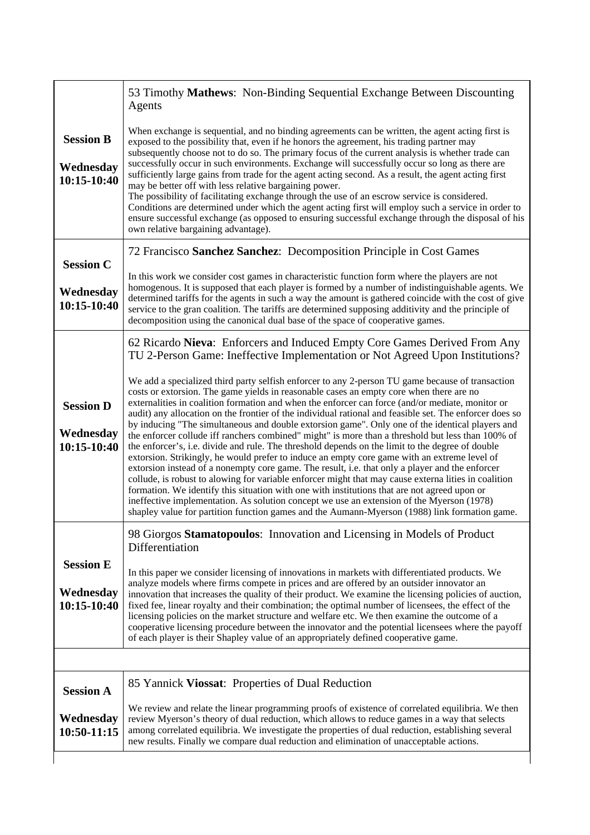|                                              | 53 Timothy <b>Mathews:</b> Non-Binding Sequential Exchange Between Discounting<br>Agents                                                                                                                                                                                                                                                                                                                                                                                                                                                                                                                                                                                                                                                                                                                                                                                                                                                                                                                                                                                                                                                                                                                                                                                                                                        |
|----------------------------------------------|---------------------------------------------------------------------------------------------------------------------------------------------------------------------------------------------------------------------------------------------------------------------------------------------------------------------------------------------------------------------------------------------------------------------------------------------------------------------------------------------------------------------------------------------------------------------------------------------------------------------------------------------------------------------------------------------------------------------------------------------------------------------------------------------------------------------------------------------------------------------------------------------------------------------------------------------------------------------------------------------------------------------------------------------------------------------------------------------------------------------------------------------------------------------------------------------------------------------------------------------------------------------------------------------------------------------------------|
| <b>Session B</b><br>Wednesday<br>10:15-10:40 | When exchange is sequential, and no binding agreements can be written, the agent acting first is<br>exposed to the possibility that, even if he honors the agreement, his trading partner may<br>subsequently choose not to do so. The primary focus of the current analysis is whether trade can<br>successfully occur in such environments. Exchange will successfully occur so long as there are<br>sufficiently large gains from trade for the agent acting second. As a result, the agent acting first<br>may be better off with less relative bargaining power.<br>The possibility of facilitating exchange through the use of an escrow service is considered.<br>Conditions are determined under which the agent acting first will employ such a service in order to<br>ensure successful exchange (as opposed to ensuring successful exchange through the disposal of his<br>own relative bargaining advantage).                                                                                                                                                                                                                                                                                                                                                                                                       |
| <b>Session C</b>                             | 72 Francisco Sanchez Sanchez: Decomposition Principle in Cost Games                                                                                                                                                                                                                                                                                                                                                                                                                                                                                                                                                                                                                                                                                                                                                                                                                                                                                                                                                                                                                                                                                                                                                                                                                                                             |
| Wednesday<br>10:15-10:40                     | In this work we consider cost games in characteristic function form where the players are not<br>homogenous. It is supposed that each player is formed by a number of indistinguishable agents. We<br>determined tariffs for the agents in such a way the amount is gathered coincide with the cost of give<br>service to the gran coalition. The tariffs are determined supposing additivity and the principle of<br>decomposition using the canonical dual base of the space of cooperative games.                                                                                                                                                                                                                                                                                                                                                                                                                                                                                                                                                                                                                                                                                                                                                                                                                            |
|                                              | 62 Ricardo Nieva: Enforcers and Induced Empty Core Games Derived From Any<br>TU 2-Person Game: Ineffective Implementation or Not Agreed Upon Institutions?                                                                                                                                                                                                                                                                                                                                                                                                                                                                                                                                                                                                                                                                                                                                                                                                                                                                                                                                                                                                                                                                                                                                                                      |
| <b>Session D</b><br>Wednesday<br>10:15-10:40 | We add a specialized third party selfish enforcer to any 2-person TU game because of transaction<br>costs or extorsion. The game yields in reasonable cases an empty core when there are no<br>externalities in coalition formation and when the enforcer can force (and/or mediate, monitor or<br>audit) any allocation on the frontier of the individual rational and feasible set. The enforcer does so<br>by inducing "The simultaneous and double extorsion game". Only one of the identical players and<br>the enforcer collude iff ranchers combined" might" is more than a threshold but less than 100% of<br>the enforcer's, i.e. divide and rule. The threshold depends on the limit to the degree of double<br>extorsion. Strikingly, he would prefer to induce an empty core game with an extreme level of<br>extorsion instead of a nonempty core game. The result, i.e. that only a player and the enforcer<br>collude, is robust to alowing for variable enforcer might that may cause externa lities in coalition<br>formation. We identify this situation with one with institutions that are not agreed upon or<br>ineffective implementation. As solution concept we use an extension of the Myerson (1978)<br>shapley value for partition function games and the Aumann-Myerson (1988) link formation game. |
|                                              | 98 Giorgos Stamatopoulos: Innovation and Licensing in Models of Product<br>Differentiation                                                                                                                                                                                                                                                                                                                                                                                                                                                                                                                                                                                                                                                                                                                                                                                                                                                                                                                                                                                                                                                                                                                                                                                                                                      |
| <b>Session E</b><br>Wednesday<br>10:15-10:40 | In this paper we consider licensing of innovations in markets with differentiated products. We<br>analyze models where firms compete in prices and are offered by an outsider innovator an<br>innovation that increases the quality of their product. We examine the licensing policies of auction,<br>fixed fee, linear royalty and their combination; the optimal number of licensees, the effect of the<br>licensing policies on the market structure and welfare etc. We then examine the outcome of a<br>cooperative licensing procedure between the innovator and the potential licensees where the payoff<br>of each player is their Shapley value of an appropriately defined cooperative game.                                                                                                                                                                                                                                                                                                                                                                                                                                                                                                                                                                                                                         |
|                                              |                                                                                                                                                                                                                                                                                                                                                                                                                                                                                                                                                                                                                                                                                                                                                                                                                                                                                                                                                                                                                                                                                                                                                                                                                                                                                                                                 |
| <b>Session A</b>                             | 85 Yannick Viossat: Properties of Dual Reduction                                                                                                                                                                                                                                                                                                                                                                                                                                                                                                                                                                                                                                                                                                                                                                                                                                                                                                                                                                                                                                                                                                                                                                                                                                                                                |
| Wednesday<br>10:50-11:15                     | We review and relate the linear programming proofs of existence of correlated equilibria. We then<br>review Myerson's theory of dual reduction, which allows to reduce games in a way that selects<br>among correlated equilibria. We investigate the properties of dual reduction, establishing several<br>new results. Finally we compare dual reduction and elimination of unacceptable actions.                                                                                                                                                                                                                                                                                                                                                                                                                                                                                                                                                                                                                                                                                                                                                                                                                                                                                                                             |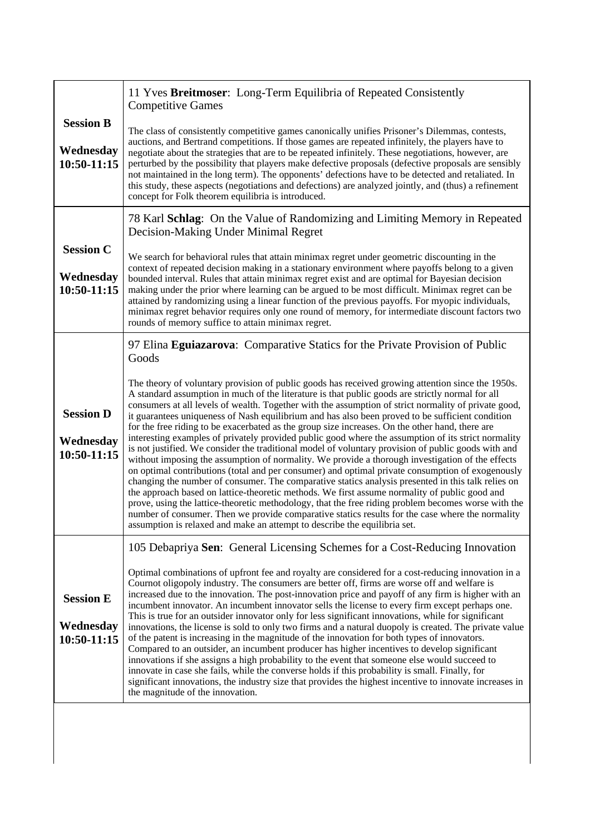| <b>Session B</b><br>Wednesday<br>10:50-11:15 | 11 Yves Breitmoser: Long-Term Equilibria of Repeated Consistently<br><b>Competitive Games</b>                                                                                                                                                                                                                                                                                                                                                                                                                                                                                                                                                                                                                                                                                                                                                                                                                                                                                                                                                                                                                                                                                                                                                                                                                                                                                                                                             |
|----------------------------------------------|-------------------------------------------------------------------------------------------------------------------------------------------------------------------------------------------------------------------------------------------------------------------------------------------------------------------------------------------------------------------------------------------------------------------------------------------------------------------------------------------------------------------------------------------------------------------------------------------------------------------------------------------------------------------------------------------------------------------------------------------------------------------------------------------------------------------------------------------------------------------------------------------------------------------------------------------------------------------------------------------------------------------------------------------------------------------------------------------------------------------------------------------------------------------------------------------------------------------------------------------------------------------------------------------------------------------------------------------------------------------------------------------------------------------------------------------|
|                                              | The class of consistently competitive games canonically unifies Prisoner's Dilemmas, contests,<br>auctions, and Bertrand competitions. If those games are repeated infinitely, the players have to<br>negotiate about the strategies that are to be repeated infinitely. These negotiations, however, are<br>perturbed by the possibility that players make defective proposals (defective proposals are sensibly<br>not maintained in the long term). The opponents' defections have to be detected and retaliated. In<br>this study, these aspects (negotiations and defections) are analyzed jointly, and (thus) a refinement<br>concept for Folk theorem equilibria is introduced.                                                                                                                                                                                                                                                                                                                                                                                                                                                                                                                                                                                                                                                                                                                                                    |
|                                              | 78 Karl Schlag: On the Value of Randomizing and Limiting Memory in Repeated<br>Decision-Making Under Minimal Regret                                                                                                                                                                                                                                                                                                                                                                                                                                                                                                                                                                                                                                                                                                                                                                                                                                                                                                                                                                                                                                                                                                                                                                                                                                                                                                                       |
| <b>Session C</b><br>Wednesday<br>10:50-11:15 | We search for behavioral rules that attain minimax regret under geometric discounting in the<br>context of repeated decision making in a stationary environment where payoffs belong to a given<br>bounded interval. Rules that attain minimax regret exist and are optimal for Bayesian decision<br>making under the prior where learning can be argued to be most difficult. Minimax regret can be<br>attained by randomizing using a linear function of the previous payoffs. For myopic individuals,<br>minimax regret behavior requires only one round of memory, for intermediate discount factors two<br>rounds of memory suffice to attain minimax regret.                                                                                                                                                                                                                                                                                                                                                                                                                                                                                                                                                                                                                                                                                                                                                                        |
|                                              | 97 Elina Eguiazarova: Comparative Statics for the Private Provision of Public<br>Goods                                                                                                                                                                                                                                                                                                                                                                                                                                                                                                                                                                                                                                                                                                                                                                                                                                                                                                                                                                                                                                                                                                                                                                                                                                                                                                                                                    |
| <b>Session D</b><br>Wednesday<br>10:50-11:15 | The theory of voluntary provision of public goods has received growing attention since the 1950s.<br>A standard assumption in much of the literature is that public goods are strictly normal for all<br>consumers at all levels of wealth. Together with the assumption of strict normality of private good,<br>it guarantees uniqueness of Nash equilibrium and has also been proved to be sufficient condition<br>for the free riding to be exacerbated as the group size increases. On the other hand, there are<br>interesting examples of privately provided public good where the assumption of its strict normality<br>is not justified. We consider the traditional model of voluntary provision of public goods with and<br>without imposing the assumption of normality. We provide a thorough investigation of the effects<br>on optimal contributions (total and per consumer) and optimal private consumption of exogenously<br>changing the number of consumer. The comparative statics analysis presented in this talk relies on<br>the approach based on lattice-theoretic methods. We first assume normality of public good and<br>prove, using the lattice-theoretic methodology, that the free riding problem becomes worse with the<br>number of consumer. Then we provide comparative statics results for the case where the normality<br>assumption is relaxed and make an attempt to describe the equilibria set. |
|                                              | 105 Debapriya Sen: General Licensing Schemes for a Cost-Reducing Innovation                                                                                                                                                                                                                                                                                                                                                                                                                                                                                                                                                                                                                                                                                                                                                                                                                                                                                                                                                                                                                                                                                                                                                                                                                                                                                                                                                               |
| <b>Session E</b><br>Wednesday<br>10:50-11:15 | Optimal combinations of upfront fee and royalty are considered for a cost-reducing innovation in a<br>Cournot oligopoly industry. The consumers are better off, firms are worse off and welfare is<br>increased due to the innovation. The post-innovation price and payoff of any firm is higher with an<br>incumbent innovator. An incumbent innovator sells the license to every firm except perhaps one.<br>This is true for an outsider innovator only for less significant innovations, while for significant<br>innovations, the license is sold to only two firms and a natural duopoly is created. The private value<br>of the patent is increasing in the magnitude of the innovation for both types of innovators.<br>Compared to an outsider, an incumbent producer has higher incentives to develop significant<br>innovations if she assigns a high probability to the event that someone else would succeed to<br>innovate in case she fails, while the converse holds if this probability is small. Finally, for<br>significant innovations, the industry size that provides the highest incentive to innovate increases in                                                                                                                                                                                                                                                                                               |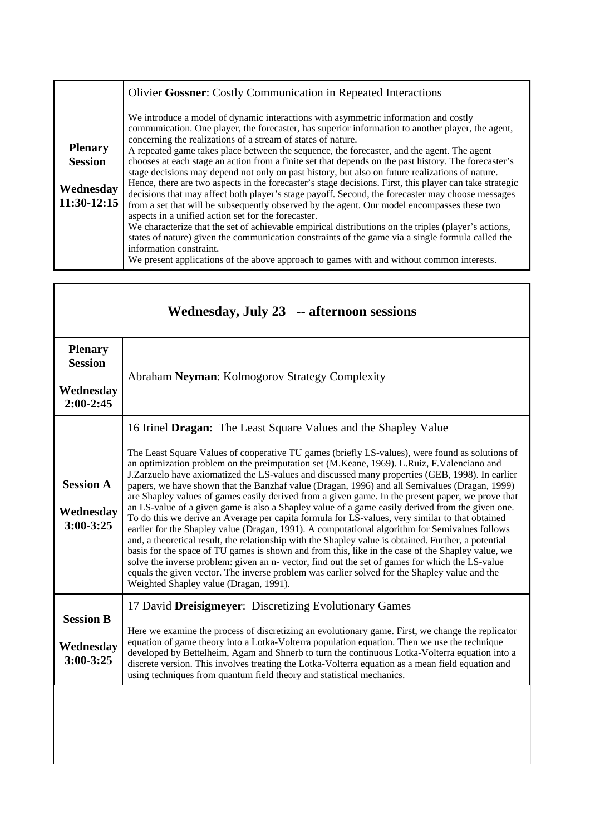|                                                                | <b>Olivier Gossner:</b> Costly Communication in Repeated Interactions                                                                                                                                                                                                                                                                                                                                                                                                                                                                                                                                                                                                                                                                                                                                                                                                                                                                                                                                                                                                                                                                                                                                                                                                       |
|----------------------------------------------------------------|-----------------------------------------------------------------------------------------------------------------------------------------------------------------------------------------------------------------------------------------------------------------------------------------------------------------------------------------------------------------------------------------------------------------------------------------------------------------------------------------------------------------------------------------------------------------------------------------------------------------------------------------------------------------------------------------------------------------------------------------------------------------------------------------------------------------------------------------------------------------------------------------------------------------------------------------------------------------------------------------------------------------------------------------------------------------------------------------------------------------------------------------------------------------------------------------------------------------------------------------------------------------------------|
| <b>Plenary</b><br><b>Session</b><br>Wednesday<br>$11:30-12:15$ | We introduce a model of dynamic interactions with asymmetric information and costly<br>communication. One player, the forecaster, has superior information to another player, the agent,<br>concerning the realizations of a stream of states of nature.<br>A repeated game takes place between the sequence, the forecaster, and the agent. The agent<br>chooses at each stage an action from a finite set that depends on the past history. The forecaster's<br>stage decisions may depend not only on past history, but also on future realizations of nature.<br>Hence, there are two aspects in the forecaster's stage decisions. First, this player can take strategic<br>decisions that may affect both player's stage payoff. Second, the forecaster may choose messages<br>from a set that will be subsequently observed by the agent. Our model encompasses these two<br>aspects in a unified action set for the forecaster.<br>We characterize that the set of achievable empirical distributions on the triples (player's actions,<br>states of nature) given the communication constraints of the game via a single formula called the<br>information constraint.<br>We present applications of the above approach to games with and without common interests. |

Г

| Wednesday, July 23 -- afternoon sessions       |                                                                                                                                                                                                                                                                                                                                                                                                                                                                                                                                                                                                                                                                                                                                                                                                                                                                                                                                                                                                                                                                                                                                                                                                                                                                                                                                                |
|------------------------------------------------|------------------------------------------------------------------------------------------------------------------------------------------------------------------------------------------------------------------------------------------------------------------------------------------------------------------------------------------------------------------------------------------------------------------------------------------------------------------------------------------------------------------------------------------------------------------------------------------------------------------------------------------------------------------------------------------------------------------------------------------------------------------------------------------------------------------------------------------------------------------------------------------------------------------------------------------------------------------------------------------------------------------------------------------------------------------------------------------------------------------------------------------------------------------------------------------------------------------------------------------------------------------------------------------------------------------------------------------------|
| <b>Plenary</b><br><b>Session</b>               | Abraham Neyman: Kolmogorov Strategy Complexity                                                                                                                                                                                                                                                                                                                                                                                                                                                                                                                                                                                                                                                                                                                                                                                                                                                                                                                                                                                                                                                                                                                                                                                                                                                                                                 |
| Wednesday<br>$2:00-2:45$                       |                                                                                                                                                                                                                                                                                                                                                                                                                                                                                                                                                                                                                                                                                                                                                                                                                                                                                                                                                                                                                                                                                                                                                                                                                                                                                                                                                |
| <b>Session A</b><br>Wednesday<br>$3:00 - 3:25$ | 16 Irinel Dragan: The Least Square Values and the Shapley Value<br>The Least Square Values of cooperative TU games (briefly LS-values), were found as solutions of<br>an optimization problem on the preimputation set (M.Keane, 1969). L.Ruiz, F.Valenciano and<br>J. Zarzuelo have axiomatized the LS-values and discussed many properties (GEB, 1998). In earlier<br>papers, we have shown that the Banzhaf value (Dragan, 1996) and all Semivalues (Dragan, 1999)<br>are Shapley values of games easily derived from a given game. In the present paper, we prove that<br>an LS-value of a given game is also a Shapley value of a game easily derived from the given one.<br>To do this we derive an Average per capita formula for LS-values, very similar to that obtained<br>earlier for the Shapley value (Dragan, 1991). A computational algorithm for Semivalues follows<br>and, a theoretical result, the relationship with the Shapley value is obtained. Further, a potential<br>basis for the space of TU games is shown and from this, like in the case of the Shapley value, we<br>solve the inverse problem: given an n- vector, find out the set of games for which the LS-value<br>equals the given vector. The inverse problem was earlier solved for the Shapley value and the<br>Weighted Shapley value (Dragan, 1991). |
| <b>Session B</b><br>Wednesday<br>$3:00 - 3:25$ | 17 David Dreisigmeyer: Discretizing Evolutionary Games<br>Here we examine the process of discretizing an evolutionary game. First, we change the replicator<br>equation of game theory into a Lotka-Volterra population equation. Then we use the technique<br>developed by Bettelheim, Agam and Shnerb to turn the continuous Lotka-Volterra equation into a<br>discrete version. This involves treating the Lotka-Volterra equation as a mean field equation and<br>using techniques from quantum field theory and statistical mechanics.                                                                                                                                                                                                                                                                                                                                                                                                                                                                                                                                                                                                                                                                                                                                                                                                    |
|                                                |                                                                                                                                                                                                                                                                                                                                                                                                                                                                                                                                                                                                                                                                                                                                                                                                                                                                                                                                                                                                                                                                                                                                                                                                                                                                                                                                                |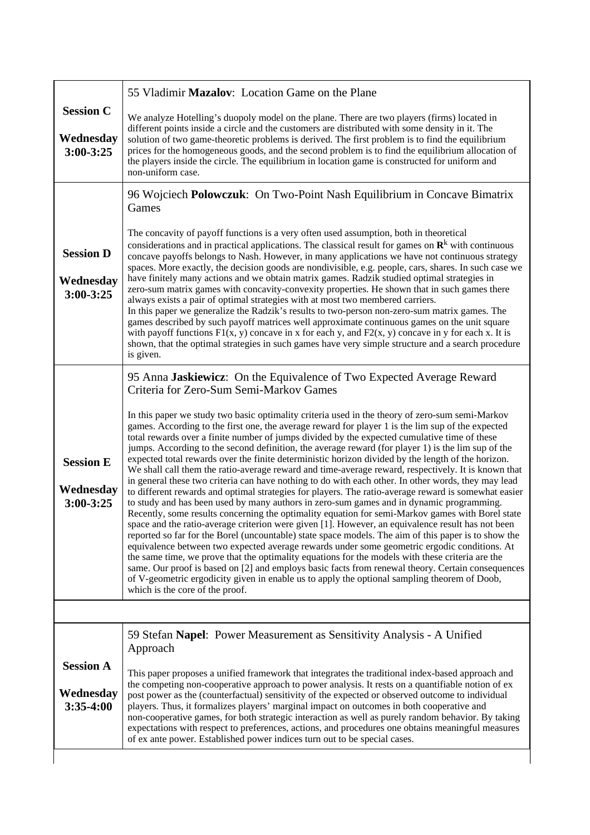|                                                | 55 Vladimir Mazalov: Location Game on the Plane                                                                                                                                                                                                                                                                                                                                                                                                                                                                                                                                                                                                                                                                                                                                                                                                                                                                                                                                                                                                                                                                                                                                                                                                                                                                                                                         |
|------------------------------------------------|-------------------------------------------------------------------------------------------------------------------------------------------------------------------------------------------------------------------------------------------------------------------------------------------------------------------------------------------------------------------------------------------------------------------------------------------------------------------------------------------------------------------------------------------------------------------------------------------------------------------------------------------------------------------------------------------------------------------------------------------------------------------------------------------------------------------------------------------------------------------------------------------------------------------------------------------------------------------------------------------------------------------------------------------------------------------------------------------------------------------------------------------------------------------------------------------------------------------------------------------------------------------------------------------------------------------------------------------------------------------------|
| <b>Session C</b><br>Wednesday<br>$3:00 - 3:25$ | We analyze Hotelling's duopoly model on the plane. There are two players (firms) located in<br>different points inside a circle and the customers are distributed with some density in it. The<br>solution of two game-theoretic problems is derived. The first problem is to find the equilibrium<br>prices for the homogeneous goods, and the second problem is to find the equilibrium allocation of<br>the players inside the circle. The equilibrium in location game is constructed for uniform and<br>non-uniform case.                                                                                                                                                                                                                                                                                                                                                                                                                                                                                                                                                                                                                                                                                                                                                                                                                                          |
|                                                | 96 Wojciech Polowczuk: On Two-Point Nash Equilibrium in Concave Bimatrix<br>Games                                                                                                                                                                                                                                                                                                                                                                                                                                                                                                                                                                                                                                                                                                                                                                                                                                                                                                                                                                                                                                                                                                                                                                                                                                                                                       |
| <b>Session D</b><br>Wednesday<br>$3:00 - 3:25$ | The concavity of payoff functions is a very often used assumption, both in theoretical<br>considerations and in practical applications. The classical result for games on $\mathbb{R}^k$ with continuous<br>concave payoffs belongs to Nash. However, in many applications we have not continuous strategy<br>spaces. More exactly, the decision goods are nondivisible, e.g. people, cars, shares. In such case we<br>have finitely many actions and we obtain matrix games. Radzik studied optimal strategies in<br>zero-sum matrix games with concavity-convexity properties. He shown that in such games there<br>always exists a pair of optimal strategies with at most two membered carriers.<br>In this paper we generalize the Radzik's results to two-person non-zero-sum matrix games. The<br>games described by such payoff matrices well approximate continuous games on the unit square<br>with payoff functions $F1(x, y)$ concave in x for each y, and $F2(x, y)$ concave in y for each x. It is<br>shown, that the optimal strategies in such games have very simple structure and a search procedure<br>is given.                                                                                                                                                                                                                                     |
| <b>Session E</b><br>Wednesday<br>$3:00 - 3:25$ | 95 Anna Jaskiewicz: On the Equivalence of Two Expected Average Reward<br>Criteria for Zero-Sum Semi-Markov Games<br>In this paper we study two basic optimality criteria used in the theory of zero-sum semi-Markov<br>games. According to the first one, the average reward for player 1 is the lim sup of the expected<br>total rewards over a finite number of jumps divided by the expected cumulative time of these<br>jumps. According to the second definition, the average reward (for player 1) is the lim sup of the<br>expected total rewards over the finite deterministic horizon divided by the length of the horizon.<br>We shall call them the ratio-average reward and time-average reward, respectively. It is known that<br>in general these two criteria can have nothing to do with each other. In other words, they may lead<br>to different rewards and optimal strategies for players. The ratio-average reward is somewhat easier<br>to study and has been used by many authors in zero-sum games and in dynamic programming.<br>Recently, some results concerning the optimality equation for semi-Markov games with Borel state<br>space and the ratio-average criterion were given [1]. However, an equivalence result has not been<br>reported so far for the Borel (uncountable) state space models. The aim of this paper is to show the |
|                                                | equivalence between two expected average rewards under some geometric ergodic conditions. At<br>the same time, we prove that the optimality equations for the models with these criteria are the<br>same. Our proof is based on [2] and employs basic facts from renewal theory. Certain consequences<br>of V-geometric ergodicity given in enable us to apply the optional sampling theorem of Doob,<br>which is the core of the proof.                                                                                                                                                                                                                                                                                                                                                                                                                                                                                                                                                                                                                                                                                                                                                                                                                                                                                                                                |
|                                                |                                                                                                                                                                                                                                                                                                                                                                                                                                                                                                                                                                                                                                                                                                                                                                                                                                                                                                                                                                                                                                                                                                                                                                                                                                                                                                                                                                         |
| <b>Session A</b><br>Wednesday<br>$3:35-4:00$   | 59 Stefan Napel: Power Measurement as Sensitivity Analysis - A Unified<br>Approach<br>This paper proposes a unified framework that integrates the traditional index-based approach and<br>the competing non-cooperative approach to power analysis. It rests on a quantifiable notion of ex<br>post power as the (counterfactual) sensitivity of the expected or observed outcome to individual<br>players. Thus, it formalizes players' marginal impact on outcomes in both cooperative and<br>non-cooperative games, for both strategic interaction as well as purely random behavior. By taking<br>expectations with respect to preferences, actions, and procedures one obtains meaningful measures<br>of ex ante power. Established power indices turn out to be special cases.                                                                                                                                                                                                                                                                                                                                                                                                                                                                                                                                                                                    |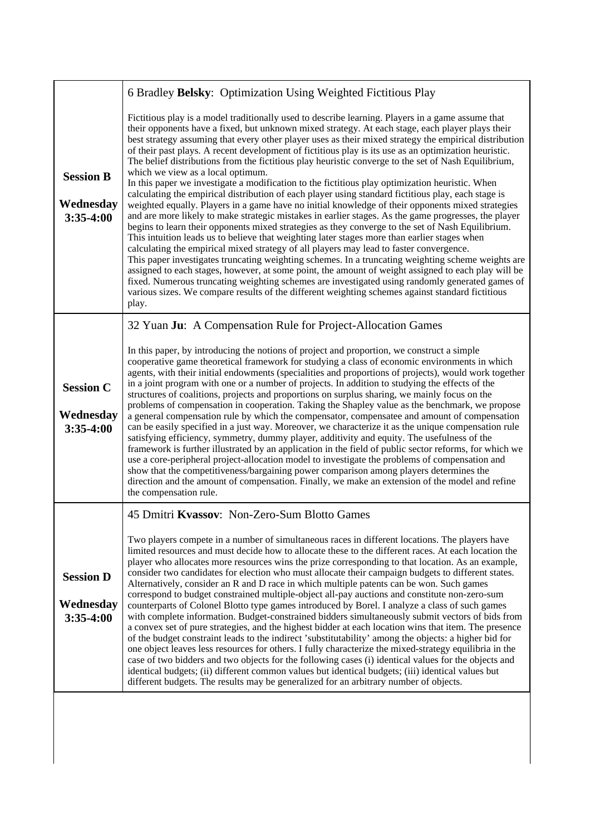|                                              | 6 Bradley Belsky: Optimization Using Weighted Fictitious Play                                                                                                                                                                                                                                                                                                                                                                                                                                                                                                                                                                                                                                                                                                                                                                                                                                                                                                                                                                                                                                                                                                                                                                                                                                                                                                                                                                                                                                                                                                                                                                                                                                                             |
|----------------------------------------------|---------------------------------------------------------------------------------------------------------------------------------------------------------------------------------------------------------------------------------------------------------------------------------------------------------------------------------------------------------------------------------------------------------------------------------------------------------------------------------------------------------------------------------------------------------------------------------------------------------------------------------------------------------------------------------------------------------------------------------------------------------------------------------------------------------------------------------------------------------------------------------------------------------------------------------------------------------------------------------------------------------------------------------------------------------------------------------------------------------------------------------------------------------------------------------------------------------------------------------------------------------------------------------------------------------------------------------------------------------------------------------------------------------------------------------------------------------------------------------------------------------------------------------------------------------------------------------------------------------------------------------------------------------------------------------------------------------------------------|
| <b>Session B</b><br>Wednesday<br>$3:35-4:00$ | Fictitious play is a model traditionally used to describe learning. Players in a game assume that<br>their opponents have a fixed, but unknown mixed strategy. At each stage, each player plays their<br>best strategy assuming that every other player uses as their mixed strategy the empirical distribution<br>of their past plays. A recent development of fictitious play is its use as an optimization heuristic.<br>The belief distributions from the fictitious play heuristic converge to the set of Nash Equilibrium,<br>which we view as a local optimum.<br>In this paper we investigate a modification to the fictitious play optimization heuristic. When<br>calculating the empirical distribution of each player using standard fictitious play, each stage is<br>weighted equally. Players in a game have no initial knowledge of their opponents mixed strategies<br>and are more likely to make strategic mistakes in earlier stages. As the game progresses, the player<br>begins to learn their opponents mixed strategies as they converge to the set of Nash Equilibrium.<br>This intuition leads us to believe that weighting later stages more than earlier stages when<br>calculating the empirical mixed strategy of all players may lead to faster convergence.<br>This paper investigates truncating weighting schemes. In a truncating weighting scheme weights are<br>assigned to each stages, however, at some point, the amount of weight assigned to each play will be<br>fixed. Numerous truncating weighting schemes are investigated using randomly generated games of<br>various sizes. We compare results of the different weighting schemes against standard fictitious<br>play. |
|                                              | 32 Yuan Ju: A Compensation Rule for Project-Allocation Games                                                                                                                                                                                                                                                                                                                                                                                                                                                                                                                                                                                                                                                                                                                                                                                                                                                                                                                                                                                                                                                                                                                                                                                                                                                                                                                                                                                                                                                                                                                                                                                                                                                              |
| <b>Session C</b><br>Wednesday<br>$3:35-4:00$ | In this paper, by introducing the notions of project and proportion, we construct a simple<br>cooperative game theoretical framework for studying a class of economic environments in which<br>agents, with their initial endowments (specialities and proportions of projects), would work together<br>in a joint program with one or a number of projects. In addition to studying the effects of the<br>structures of coalitions, projects and proportions on surplus sharing, we mainly focus on the<br>problems of compensation in cooperation. Taking the Shapley value as the benchmark, we propose<br>a general compensation rule by which the compensator, compensatee and amount of compensation<br>can be easily specified in a just way. Moreover, we characterize it as the unique compensation rule<br>satisfying efficiency, symmetry, dummy player, additivity and equity. The usefulness of the<br>framework is further illustrated by an application in the field of public sector reforms, for which we<br>use a core-peripheral project-allocation model to investigate the problems of compensation and<br>show that the competitiveness/bargaining power comparison among players determines the<br>direction and the amount of compensation. Finally, we make an extension of the model and refine<br>the compensation rule.                                                                                                                                                                                                                                                                                                                                                                       |
| <b>Session D</b><br>Wednesday<br>$3:35-4:00$ | 45 Dmitri Kvassov: Non-Zero-Sum Blotto Games<br>Two players compete in a number of simultaneous races in different locations. The players have<br>limited resources and must decide how to allocate these to the different races. At each location the<br>player who allocates more resources wins the prize corresponding to that location. As an example,<br>consider two candidates for election who must allocate their campaign budgets to different states.<br>Alternatively, consider an R and D race in which multiple patents can be won. Such games<br>correspond to budget constrained multiple-object all-pay auctions and constitute non-zero-sum<br>counterparts of Colonel Blotto type games introduced by Borel. I analyze a class of such games<br>with complete information. Budget-constrained bidders simultaneously submit vectors of bids from<br>a convex set of pure strategies, and the highest bidder at each location wins that item. The presence<br>of the budget constraint leads to the indirect 'substitutability' among the objects: a higher bid for<br>one object leaves less resources for others. I fully characterize the mixed-strategy equilibria in the<br>case of two bidders and two objects for the following cases (i) identical values for the objects and<br>identical budgets; (ii) different common values but identical budgets; (iii) identical values but<br>different budgets. The results may be generalized for an arbitrary number of objects.                                                                                                                                                                                                                    |
|                                              |                                                                                                                                                                                                                                                                                                                                                                                                                                                                                                                                                                                                                                                                                                                                                                                                                                                                                                                                                                                                                                                                                                                                                                                                                                                                                                                                                                                                                                                                                                                                                                                                                                                                                                                           |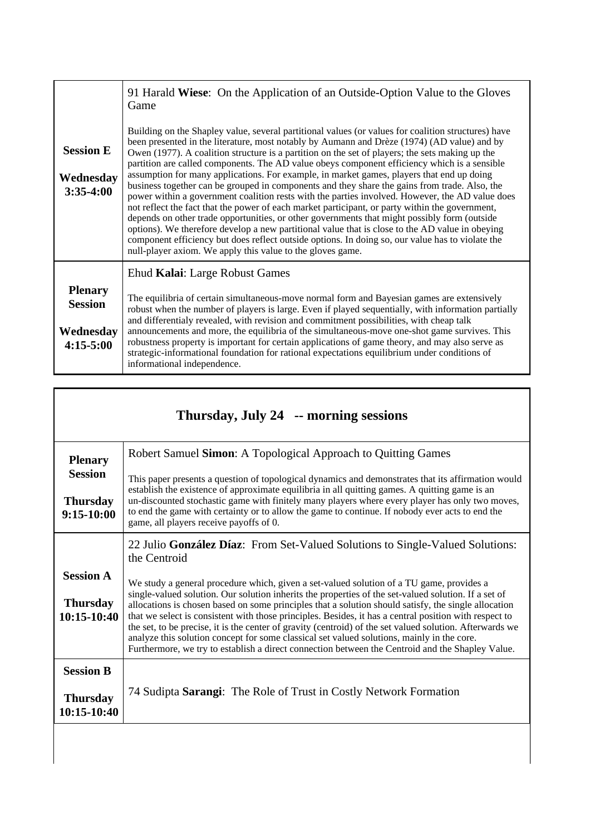| <b>Session E</b><br>Wednesday<br>$3:35-4:00$                 | 91 Harald Wiese: On the Application of an Outside-Option Value to the Gloves<br>Game<br>Building on the Shapley value, several partitional values (or values for coalition structures) have<br>been presented in the literature, most notably by Aumann and Drèze (1974) (AD value) and by<br>Owen (1977). A coalition structure is a partition on the set of players; the sets making up the<br>partition are called components. The AD value obeys component efficiency which is a sensible<br>assumption for many applications. For example, in market games, players that end up doing<br>business together can be grouped in components and they share the gains from trade. Also, the<br>power within a government coalition rests with the parties involved. However, the AD value does<br>not reflect the fact that the power of each market participant, or party within the government,<br>depends on other trade opportunities, or other governments that might possibly form (outside<br>options). We therefore develop a new partitional value that is close to the AD value in obeying<br>component efficiency but does reflect outside options. In doing so, our value has to violate the<br>null-player axiom. We apply this value to the gloves game. |
|--------------------------------------------------------------|------------------------------------------------------------------------------------------------------------------------------------------------------------------------------------------------------------------------------------------------------------------------------------------------------------------------------------------------------------------------------------------------------------------------------------------------------------------------------------------------------------------------------------------------------------------------------------------------------------------------------------------------------------------------------------------------------------------------------------------------------------------------------------------------------------------------------------------------------------------------------------------------------------------------------------------------------------------------------------------------------------------------------------------------------------------------------------------------------------------------------------------------------------------------------------------------------------------------------------------------------------------------|
|                                                              | Ehud Kalai: Large Robust Games                                                                                                                                                                                                                                                                                                                                                                                                                                                                                                                                                                                                                                                                                                                                                                                                                                                                                                                                                                                                                                                                                                                                                                                                                                         |
| <b>Plenary</b><br><b>Session</b><br>Wednesday<br>$4:15-5:00$ | The equilibria of certain simultaneous-move normal form and Bayesian games are extensively<br>robust when the number of players is large. Even if played sequentially, with information partially<br>and differentialy revealed, with revision and commitment possibilities, with cheap talk<br>announcements and more, the equilibria of the simultaneous-move one-shot game survives. This<br>robustness property is important for certain applications of game theory, and may also serve as<br>strategic-informational foundation for rational expectations equilibrium under conditions of<br>informational independence.                                                                                                                                                                                                                                                                                                                                                                                                                                                                                                                                                                                                                                         |

| Thursday, July 24 -- morning sessions                               |                                                                                                                                                                                                                                                                                                                                                                                                                                                                                                                                                                                                                                                                                                                                                                                                                                   |
|---------------------------------------------------------------------|-----------------------------------------------------------------------------------------------------------------------------------------------------------------------------------------------------------------------------------------------------------------------------------------------------------------------------------------------------------------------------------------------------------------------------------------------------------------------------------------------------------------------------------------------------------------------------------------------------------------------------------------------------------------------------------------------------------------------------------------------------------------------------------------------------------------------------------|
| <b>Plenary</b><br><b>Session</b><br><b>Thursday</b><br>$9:15-10:00$ | Robert Samuel Simon: A Topological Approach to Quitting Games<br>This paper presents a question of topological dynamics and demonstrates that its affirmation would<br>establish the existence of approximate equilibria in all quitting games. A quitting game is an<br>un-discounted stochastic game with finitely many players where every player has only two moves,<br>to end the game with certainty or to allow the game to continue. If nobody ever acts to end the<br>game, all players receive payoffs of 0.                                                                                                                                                                                                                                                                                                            |
| <b>Session A</b><br><b>Thursday</b><br>$10:15 - 10:40$              | 22 Julio González Díaz: From Set-Valued Solutions to Single-Valued Solutions:<br>the Centroid<br>We study a general procedure which, given a set-valued solution of a TU game, provides a<br>single-valued solution. Our solution inherits the properties of the set-valued solution. If a set of<br>allocations is chosen based on some principles that a solution should satisfy, the single allocation<br>that we select is consistent with those principles. Besides, it has a central position with respect to<br>the set, to be precise, it is the center of gravity (centroid) of the set valued solution. Afterwards we<br>analyze this solution concept for some classical set valued solutions, mainly in the core.<br>Furthermore, we try to establish a direct connection between the Centroid and the Shapley Value. |
| <b>Session B</b><br><b>Thursday</b><br>10:15-10:40                  | 74 Sudipta Sarangi: The Role of Trust in Costly Network Formation                                                                                                                                                                                                                                                                                                                                                                                                                                                                                                                                                                                                                                                                                                                                                                 |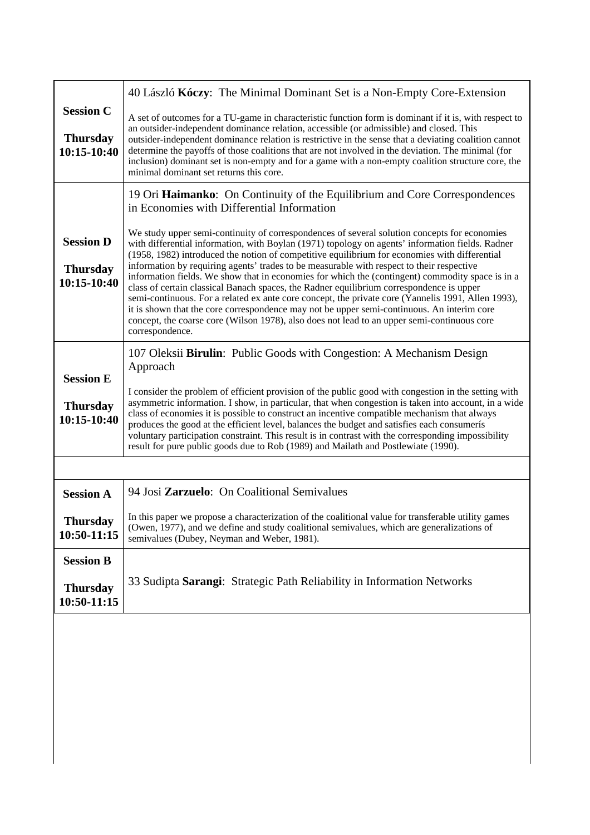|                                                      | 40 László Kóczy: The Minimal Dominant Set is a Non-Empty Core-Extension                                                                                                                                                                                                                                                                                                                                                                                                                                                                                                                                                                                                                                                                                                                                                                                                                                              |
|------------------------------------------------------|----------------------------------------------------------------------------------------------------------------------------------------------------------------------------------------------------------------------------------------------------------------------------------------------------------------------------------------------------------------------------------------------------------------------------------------------------------------------------------------------------------------------------------------------------------------------------------------------------------------------------------------------------------------------------------------------------------------------------------------------------------------------------------------------------------------------------------------------------------------------------------------------------------------------|
| <b>Session C</b><br><b>Thursday</b><br>$10:15-10:40$ | A set of outcomes for a TU-game in characteristic function form is dominant if it is, with respect to<br>an outsider-independent dominance relation, accessible (or admissible) and closed. This<br>outsider-independent dominance relation is restrictive in the sense that a deviating coalition cannot<br>determine the payoffs of those coalitions that are not involved in the deviation. The minimal (for<br>inclusion) dominant set is non-empty and for a game with a non-empty coalition structure core, the<br>minimal dominant set returns this core.                                                                                                                                                                                                                                                                                                                                                     |
|                                                      | 19 Ori Haimanko: On Continuity of the Equilibrium and Core Correspondences<br>in Economies with Differential Information                                                                                                                                                                                                                                                                                                                                                                                                                                                                                                                                                                                                                                                                                                                                                                                             |
| <b>Session D</b><br><b>Thursday</b><br>$10:15-10:40$ | We study upper semi-continuity of correspondences of several solution concepts for economies<br>with differential information, with Boylan (1971) topology on agents' information fields. Radner<br>(1958, 1982) introduced the notion of competitive equilibrium for economies with differential<br>information by requiring agents' trades to be measurable with respect to their respective<br>information fields. We show that in economies for which the (contingent) commodity space is in a<br>class of certain classical Banach spaces, the Radner equilibrium correspondence is upper<br>semi-continuous. For a related ex ante core concept, the private core (Yannelis 1991, Allen 1993),<br>it is shown that the core correspondence may not be upper semi-continuous. An interim core<br>concept, the coarse core (Wilson 1978), also does not lead to an upper semi-continuous core<br>correspondence. |
|                                                      | 107 Oleksii Birulin: Public Goods with Congestion: A Mechanism Design<br>Approach                                                                                                                                                                                                                                                                                                                                                                                                                                                                                                                                                                                                                                                                                                                                                                                                                                    |
| <b>Session E</b>                                     |                                                                                                                                                                                                                                                                                                                                                                                                                                                                                                                                                                                                                                                                                                                                                                                                                                                                                                                      |
| <b>Thursday</b><br>$10:15-10:40$                     | I consider the problem of efficient provision of the public good with congestion in the setting with<br>asymmetric information. I show, in particular, that when congestion is taken into account, in a wide<br>class of economies it is possible to construct an incentive compatible mechanism that always<br>produces the good at the efficient level, balances the budget and satisfies each consumerís<br>voluntary participation constraint. This result is in contrast with the corresponding impossibility<br>result for pure public goods due to Rob (1989) and Mailath and Postlewiate (1990).                                                                                                                                                                                                                                                                                                             |
|                                                      |                                                                                                                                                                                                                                                                                                                                                                                                                                                                                                                                                                                                                                                                                                                                                                                                                                                                                                                      |
| <b>Session A</b>                                     | 94 Josi Zarzuelo: On Coalitional Semivalues                                                                                                                                                                                                                                                                                                                                                                                                                                                                                                                                                                                                                                                                                                                                                                                                                                                                          |
| <b>Thursday</b><br>10:50-11:15                       | In this paper we propose a characterization of the coalitional value for transferable utility games<br>(Owen, 1977), and we define and study coalitional semivalues, which are generalizations of<br>semivalues (Dubey, Neyman and Weber, 1981).                                                                                                                                                                                                                                                                                                                                                                                                                                                                                                                                                                                                                                                                     |
| <b>Session B</b>                                     |                                                                                                                                                                                                                                                                                                                                                                                                                                                                                                                                                                                                                                                                                                                                                                                                                                                                                                                      |
| <b>Thursday</b><br>10:50-11:15                       | 33 Sudipta Sarangi: Strategic Path Reliability in Information Networks                                                                                                                                                                                                                                                                                                                                                                                                                                                                                                                                                                                                                                                                                                                                                                                                                                               |
|                                                      |                                                                                                                                                                                                                                                                                                                                                                                                                                                                                                                                                                                                                                                                                                                                                                                                                                                                                                                      |
|                                                      |                                                                                                                                                                                                                                                                                                                                                                                                                                                                                                                                                                                                                                                                                                                                                                                                                                                                                                                      |
|                                                      |                                                                                                                                                                                                                                                                                                                                                                                                                                                                                                                                                                                                                                                                                                                                                                                                                                                                                                                      |
|                                                      |                                                                                                                                                                                                                                                                                                                                                                                                                                                                                                                                                                                                                                                                                                                                                                                                                                                                                                                      |
|                                                      |                                                                                                                                                                                                                                                                                                                                                                                                                                                                                                                                                                                                                                                                                                                                                                                                                                                                                                                      |
|                                                      |                                                                                                                                                                                                                                                                                                                                                                                                                                                                                                                                                                                                                                                                                                                                                                                                                                                                                                                      |
|                                                      |                                                                                                                                                                                                                                                                                                                                                                                                                                                                                                                                                                                                                                                                                                                                                                                                                                                                                                                      |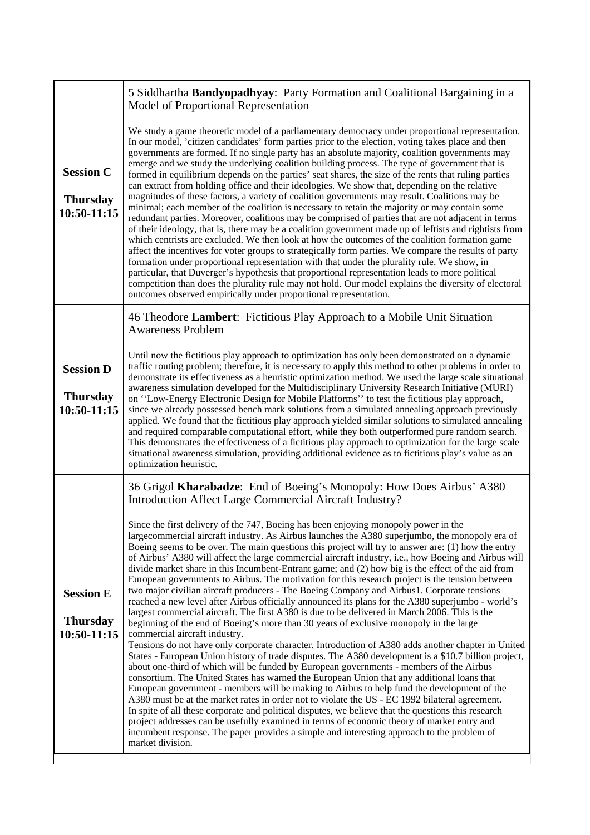| <b>Session C</b><br><b>Thursday</b><br>$10:50-11:15$ | 5 Siddhartha Bandyopadhyay: Party Formation and Coalitional Bargaining in a<br>Model of Proportional Representation                                                                                                                                                                                                                                                                                                                                                                                                                                                                                                                                                                                                                                                                                                                                                                                                                                                                                                                                                                                                                                                                                                                                                                                                                                                                                                                                                                                                                                                                                                                                                                                                                                                                                                                                                                                                                                                      |
|------------------------------------------------------|--------------------------------------------------------------------------------------------------------------------------------------------------------------------------------------------------------------------------------------------------------------------------------------------------------------------------------------------------------------------------------------------------------------------------------------------------------------------------------------------------------------------------------------------------------------------------------------------------------------------------------------------------------------------------------------------------------------------------------------------------------------------------------------------------------------------------------------------------------------------------------------------------------------------------------------------------------------------------------------------------------------------------------------------------------------------------------------------------------------------------------------------------------------------------------------------------------------------------------------------------------------------------------------------------------------------------------------------------------------------------------------------------------------------------------------------------------------------------------------------------------------------------------------------------------------------------------------------------------------------------------------------------------------------------------------------------------------------------------------------------------------------------------------------------------------------------------------------------------------------------------------------------------------------------------------------------------------------------|
|                                                      | We study a game theoretic model of a parliamentary democracy under proportional representation.<br>In our model, 'citizen candidates' form parties prior to the election, voting takes place and then<br>governments are formed. If no single party has an absolute majority, coalition governments may<br>emerge and we study the underlying coalition building process. The type of government that is<br>formed in equilibrium depends on the parties' seat shares, the size of the rents that ruling parties<br>can extract from holding office and their ideologies. We show that, depending on the relative<br>magnitudes of these factors, a variety of coalition governments may result. Coalitions may be<br>minimal; each member of the coalition is necessary to retain the majority or may contain some<br>redundant parties. Moreover, coalitions may be comprised of parties that are not adjacent in terms<br>of their ideology, that is, there may be a coalition government made up of leftists and rightists from<br>which centrists are excluded. We then look at how the outcomes of the coalition formation game<br>affect the incentives for voter groups to strategically form parties. We compare the results of party<br>formation under proportional representation with that under the plurality rule. We show, in<br>particular, that Duverger's hypothesis that proportional representation leads to more political<br>competition than does the plurality rule may not hold. Our model explains the diversity of electoral<br>outcomes observed empirically under proportional representation.                                                                                                                                                                                                                                                                                                                                             |
|                                                      | 46 Theodore Lambert: Fictitious Play Approach to a Mobile Unit Situation<br><b>Awareness Problem</b>                                                                                                                                                                                                                                                                                                                                                                                                                                                                                                                                                                                                                                                                                                                                                                                                                                                                                                                                                                                                                                                                                                                                                                                                                                                                                                                                                                                                                                                                                                                                                                                                                                                                                                                                                                                                                                                                     |
| <b>Session D</b><br><b>Thursday</b><br>$10:50-11:15$ | Until now the fictitious play approach to optimization has only been demonstrated on a dynamic<br>traffic routing problem; therefore, it is necessary to apply this method to other problems in order to<br>demonstrate its effectiveness as a heuristic optimization method. We used the large scale situational<br>awareness simulation developed for the Multidisciplinary University Research Initiative (MURI)<br>on "Low-Energy Electronic Design for Mobile Platforms" to test the fictitious play approach,<br>since we already possessed bench mark solutions from a simulated annealing approach previously<br>applied. We found that the fictitious play approach yielded similar solutions to simulated annealing<br>and required comparable computational effort, while they both outperformed pure random search.<br>This demonstrates the effectiveness of a fictitious play approach to optimization for the large scale<br>situational awareness simulation, providing additional evidence as to fictitious play's value as an<br>optimization heuristic.                                                                                                                                                                                                                                                                                                                                                                                                                                                                                                                                                                                                                                                                                                                                                                                                                                                                                               |
|                                                      | 36 Grigol Kharabadze: End of Boeing's Monopoly: How Does Airbus' A380<br>Introduction Affect Large Commercial Aircraft Industry?                                                                                                                                                                                                                                                                                                                                                                                                                                                                                                                                                                                                                                                                                                                                                                                                                                                                                                                                                                                                                                                                                                                                                                                                                                                                                                                                                                                                                                                                                                                                                                                                                                                                                                                                                                                                                                         |
| <b>Session E</b><br><b>Thursday</b><br>10:50-11:15   | Since the first delivery of the 747, Boeing has been enjoying monopoly power in the<br>largecommercial aircraft industry. As Airbus launches the A380 superjumbo, the monopoly era of<br>Boeing seems to be over. The main questions this project will try to answer are: (1) how the entry<br>of Airbus' A380 will affect the large commercial aircraft industry, i.e., how Boeing and Airbus will<br>divide market share in this Incumbent-Entrant game; and (2) how big is the effect of the aid from<br>European governments to Airbus. The motivation for this research project is the tension between<br>two major civilian aircraft producers - The Boeing Company and Airbus1. Corporate tensions<br>reached a new level after Airbus officially announced its plans for the A380 superjumbo - world's<br>largest commercial aircraft. The first A380 is due to be delivered in March 2006. This is the<br>beginning of the end of Boeing's more than 30 years of exclusive monopoly in the large<br>commercial aircraft industry.<br>Tensions do not have only corporate character. Introduction of A380 adds another chapter in United<br>States - European Union history of trade disputes. The A380 development is a \$10.7 billion project,<br>about one-third of which will be funded by European governments - members of the Airbus<br>consortium. The United States has warned the European Union that any additional loans that<br>European government - members will be making to Airbus to help fund the development of the<br>A380 must be at the market rates in order not to violate the US - EC 1992 bilateral agreement.<br>In spite of all these corporate and political disputes, we believe that the questions this research<br>project addresses can be usefully examined in terms of economic theory of market entry and<br>incumbent response. The paper provides a simple and interesting approach to the problem of<br>market division. |

 $\overline{\phantom{a}}$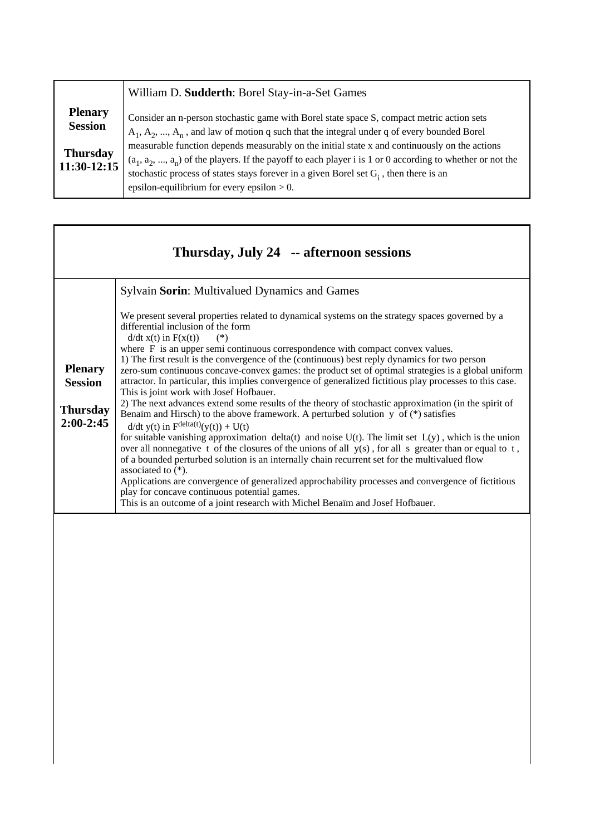|                                                                      | William D. Sudderth: Borel Stay-in-a-Set Games                                                                                                                                                                                                                                                                                                                                                              |
|----------------------------------------------------------------------|-------------------------------------------------------------------------------------------------------------------------------------------------------------------------------------------------------------------------------------------------------------------------------------------------------------------------------------------------------------------------------------------------------------|
| <b>Plenary</b><br><b>Session</b><br><b>Thursday</b><br>$11:30-12:15$ | Consider an n-person stochastic game with Borel state space S, compact metric action sets<br>$A_1, A_2, , A_n$ , and law of motion q such that the integral under q of every bounded Borel<br>measurable function depends measurably on the initial state x and continuously on the actions<br>$(a_1, a_2, , a_n)$ of the players. If the payoff to each player i is 1 or 0 according to whether or not the |
|                                                                      | stochastic process of states stays forever in a given Borel set $G_i$ , then there is an<br>epsilon-equilibrium for every epsilon $> 0$ .                                                                                                                                                                                                                                                                   |

|                                                                    | Thursday, July 24 -- afternoon sessions                                                                                                                                                                                                                                                                                                                                                                                                                                                                                                                                                                                                                                                                                                                                                                                                                                                                                                                                                                                                                                                                                                                                                                                                                                                                                                                                                                                                                                         |
|--------------------------------------------------------------------|---------------------------------------------------------------------------------------------------------------------------------------------------------------------------------------------------------------------------------------------------------------------------------------------------------------------------------------------------------------------------------------------------------------------------------------------------------------------------------------------------------------------------------------------------------------------------------------------------------------------------------------------------------------------------------------------------------------------------------------------------------------------------------------------------------------------------------------------------------------------------------------------------------------------------------------------------------------------------------------------------------------------------------------------------------------------------------------------------------------------------------------------------------------------------------------------------------------------------------------------------------------------------------------------------------------------------------------------------------------------------------------------------------------------------------------------------------------------------------|
|                                                                    | Sylvain Sorin: Multivalued Dynamics and Games                                                                                                                                                                                                                                                                                                                                                                                                                                                                                                                                                                                                                                                                                                                                                                                                                                                                                                                                                                                                                                                                                                                                                                                                                                                                                                                                                                                                                                   |
| <b>Plenary</b><br><b>Session</b><br><b>Thursday</b><br>$2:00-2:45$ | We present several properties related to dynamical systems on the strategy spaces governed by a<br>differential inclusion of the form<br>$d/dt x(t)$ in $F(x(t))$<br>$(*)$<br>where F is an upper semi continuous correspondence with compact convex values.<br>1) The first result is the convergence of the (continuous) best reply dynamics for two person<br>zero-sum continuous concave-convex games: the product set of optimal strategies is a global uniform<br>attractor. In particular, this implies convergence of generalized fictitious play processes to this case.<br>This is joint work with Josef Hofbauer.<br>2) The next advances extend some results of the theory of stochastic approximation (in the spirit of<br>Benaïm and Hirsch) to the above framework. A perturbed solution $y$ of $(*)$ satisfies<br>$d/dt$ y(t) in $F^{\text{delta}(t)}(y(t)) + U(t)$<br>for suitable vanishing approximation delta(t) and noise $U(t)$ . The limit set $L(y)$ , which is the union<br>over all nonnegative t of the closures of the unions of all $y(s)$ , for all s greater than or equal to t,<br>of a bounded perturbed solution is an internally chain recurrent set for the multivalued flow<br>associated to $(*).$<br>Applications are convergence of generalized approchability processes and convergence of fictitious<br>play for concave continuous potential games.<br>This is an outcome of a joint research with Michel Benaïm and Josef Hofbauer. |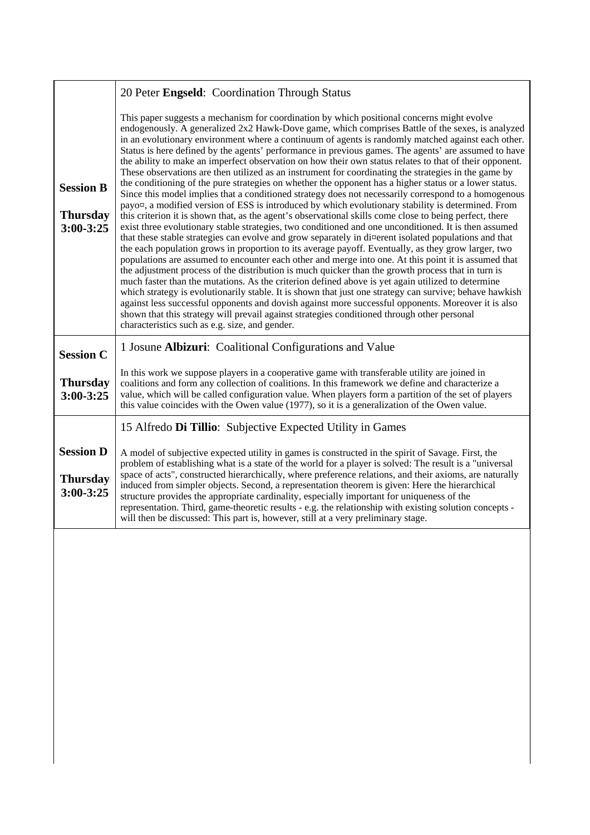|                                                      | 20 Peter Engseld: Coordination Through Status                                                                                                                                                                                                                                                                                                                                                                                                                                                                                                                                                                                                                                                                                                                                                                                                                                                                                                                                                                                                                                                                                                                                                                                                                                                                                                                                                                                                                                                                                                                                                                                                                                                                                                                                                                                                                                                                                                                                                                                                                                     |
|------------------------------------------------------|-----------------------------------------------------------------------------------------------------------------------------------------------------------------------------------------------------------------------------------------------------------------------------------------------------------------------------------------------------------------------------------------------------------------------------------------------------------------------------------------------------------------------------------------------------------------------------------------------------------------------------------------------------------------------------------------------------------------------------------------------------------------------------------------------------------------------------------------------------------------------------------------------------------------------------------------------------------------------------------------------------------------------------------------------------------------------------------------------------------------------------------------------------------------------------------------------------------------------------------------------------------------------------------------------------------------------------------------------------------------------------------------------------------------------------------------------------------------------------------------------------------------------------------------------------------------------------------------------------------------------------------------------------------------------------------------------------------------------------------------------------------------------------------------------------------------------------------------------------------------------------------------------------------------------------------------------------------------------------------------------------------------------------------------------------------------------------------|
| <b>Session B</b><br><b>Thursday</b><br>$3:00 - 3:25$ | This paper suggests a mechanism for coordination by which positional concerns might evolve<br>endogenously. A generalized 2x2 Hawk-Dove game, which comprises Battle of the sexes, is analyzed<br>in an evolutionary environment where a continuum of agents is randomly matched against each other.<br>Status is here defined by the agents' performance in previous games. The agents' are assumed to have<br>the ability to make an imperfect observation on how their own status relates to that of their opponent.<br>These observations are then utilized as an instrument for coordinating the strategies in the game by<br>the conditioning of the pure strategies on whether the opponent has a higher status or a lower status.<br>Since this model implies that a conditioned strategy does not necessarily correspond to a homogenous<br>payo¤, a modified version of ESS is introduced by which evolutionary stability is determined. From<br>this criterion it is shown that, as the agent's observational skills come close to being perfect, there<br>exist three evolutionary stable strategies, two conditioned and one unconditioned. It is then assumed<br>that these stable strategies can evolve and grow separately in di¤erent isolated populations and that<br>the each population grows in proportion to its average payoff. Eventually, as they grow larger, two<br>populations are assumed to encounter each other and merge into one. At this point it is assumed that<br>the adjustment process of the distribution is much quicker than the growth process that in turn is<br>much faster than the mutations. As the criterion defined above is yet again utilized to determine<br>which strategy is evolutionarily stable. It is shown that just one strategy can survive; behave hawkish<br>against less successful opponents and dovish against more successful opponents. Moreover it is also<br>shown that this strategy will prevail against strategies conditioned through other personal<br>characteristics such as e.g. size, and gender. |
| <b>Session C</b>                                     | 1 Josune Albizuri: Coalitional Configurations and Value                                                                                                                                                                                                                                                                                                                                                                                                                                                                                                                                                                                                                                                                                                                                                                                                                                                                                                                                                                                                                                                                                                                                                                                                                                                                                                                                                                                                                                                                                                                                                                                                                                                                                                                                                                                                                                                                                                                                                                                                                           |
| <b>Thursday</b><br>3:00-3:25                         | In this work we suppose players in a cooperative game with transferable utility are joined in<br>coalitions and form any collection of coalitions. In this framework we define and characterize a<br>value, which will be called configuration value. When players form a partition of the set of players<br>this value coincides with the Owen value (1977), so it is a generalization of the Owen value.                                                                                                                                                                                                                                                                                                                                                                                                                                                                                                                                                                                                                                                                                                                                                                                                                                                                                                                                                                                                                                                                                                                                                                                                                                                                                                                                                                                                                                                                                                                                                                                                                                                                        |
|                                                      | 15 Alfredo Di Tillio: Subjective Expected Utility in Games                                                                                                                                                                                                                                                                                                                                                                                                                                                                                                                                                                                                                                                                                                                                                                                                                                                                                                                                                                                                                                                                                                                                                                                                                                                                                                                                                                                                                                                                                                                                                                                                                                                                                                                                                                                                                                                                                                                                                                                                                        |
| <b>Session D</b><br><b>Thursday</b><br>3:00-3:25     | A model of subjective expected utility in games is constructed in the spirit of Savage. First, the<br>problem of establishing what is a state of the world for a player is solved: The result is a "universal<br>space of acts", constructed hierarchically, where preference relations, and their axioms, are naturally<br>induced from simpler objects. Second, a representation theorem is given: Here the hierarchical<br>structure provides the appropriate cardinality, especially important for uniqueness of the<br>representation. Third, game-theoretic results - e.g. the relationship with existing solution concepts -                                                                                                                                                                                                                                                                                                                                                                                                                                                                                                                                                                                                                                                                                                                                                                                                                                                                                                                                                                                                                                                                                                                                                                                                                                                                                                                                                                                                                                               |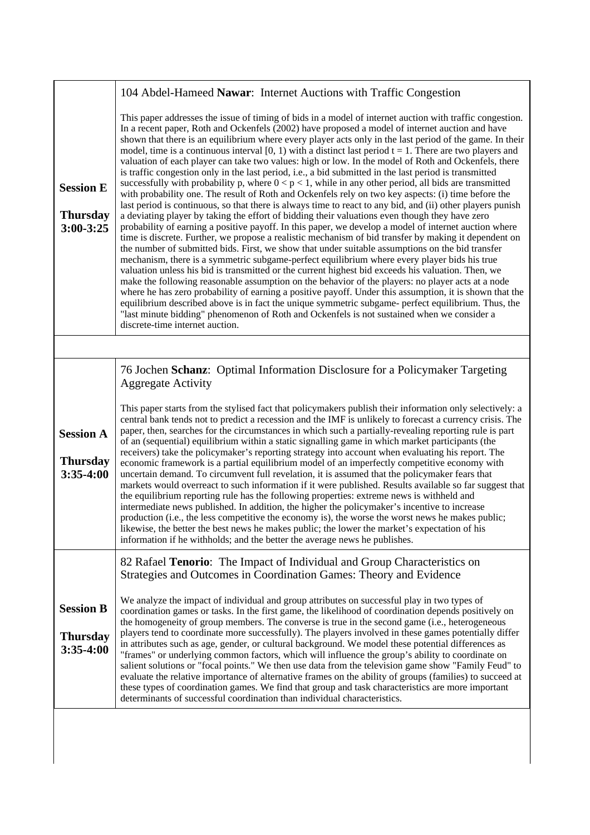|                                                      | 104 Abdel-Hameed Nawar: Internet Auctions with Traffic Congestion                                                                                                                                                                                                                                                                                                                                                                                                                                                                                                                                                                                                                                                                                                                                                                                                                                                                                                                                                                                                                                                                                                                                                                                                                                                                                                                                                                                                                                                                                                                                                                                                                                                                                                                                                                                                                                                                                                                                                                                                               |
|------------------------------------------------------|---------------------------------------------------------------------------------------------------------------------------------------------------------------------------------------------------------------------------------------------------------------------------------------------------------------------------------------------------------------------------------------------------------------------------------------------------------------------------------------------------------------------------------------------------------------------------------------------------------------------------------------------------------------------------------------------------------------------------------------------------------------------------------------------------------------------------------------------------------------------------------------------------------------------------------------------------------------------------------------------------------------------------------------------------------------------------------------------------------------------------------------------------------------------------------------------------------------------------------------------------------------------------------------------------------------------------------------------------------------------------------------------------------------------------------------------------------------------------------------------------------------------------------------------------------------------------------------------------------------------------------------------------------------------------------------------------------------------------------------------------------------------------------------------------------------------------------------------------------------------------------------------------------------------------------------------------------------------------------------------------------------------------------------------------------------------------------|
| <b>Session E</b><br><b>Thursday</b><br>$3:00 - 3:25$ | This paper addresses the issue of timing of bids in a model of internet auction with traffic congestion.<br>In a recent paper, Roth and Ockenfels (2002) have proposed a model of internet auction and have<br>shown that there is an equilibrium where every player acts only in the last period of the game. In their<br>model, time is a continuous interval [0, 1) with a distinct last period $t = 1$ . There are two players and<br>valuation of each player can take two values: high or low. In the model of Roth and Ockenfels, there<br>is traffic congestion only in the last period, i.e., a bid submitted in the last period is transmitted<br>successfully with probability p, where $0 < p < 1$ , while in any other period, all bids are transmitted<br>with probability one. The result of Roth and Ockenfels rely on two key aspects: (i) time before the<br>last period is continuous, so that there is always time to react to any bid, and (ii) other players punish<br>a deviating player by taking the effort of bidding their valuations even though they have zero<br>probability of earning a positive payoff. In this paper, we develop a model of internet auction where<br>time is discrete. Further, we propose a realistic mechanism of bid transfer by making it dependent on<br>the number of submitted bids. First, we show that under suitable assumptions on the bid transfer<br>mechanism, there is a symmetric subgame-perfect equilibrium where every player bids his true<br>valuation unless his bid is transmitted or the current highest bid exceeds his valuation. Then, we<br>make the following reasonable assumption on the behavior of the players: no player acts at a node<br>where he has zero probability of earning a positive payoff. Under this assumption, it is shown that the<br>equilibrium described above is in fact the unique symmetric subgame- perfect equilibrium. Thus, the<br>"last minute bidding" phenomenon of Roth and Ockenfels is not sustained when we consider a<br>discrete-time internet auction. |
|                                                      |                                                                                                                                                                                                                                                                                                                                                                                                                                                                                                                                                                                                                                                                                                                                                                                                                                                                                                                                                                                                                                                                                                                                                                                                                                                                                                                                                                                                                                                                                                                                                                                                                                                                                                                                                                                                                                                                                                                                                                                                                                                                                 |
| <b>Session A</b><br><b>Thursday</b><br>3:35-4:00     | 76 Jochen Schanz: Optimal Information Disclosure for a Policymaker Targeting<br><b>Aggregate Activity</b><br>This paper starts from the stylised fact that policymakers publish their information only selectively: a<br>central bank tends not to predict a recession and the IMF is unlikely to forecast a currency crisis. The<br>paper, then, searches for the circumstances in which such a partially-revealing reporting rule is part<br>of an (sequential) equilibrium within a static signalling game in which market participants (the<br>receivers) take the policymaker's reporting strategy into account when evaluating his report. The<br>economic framework is a partial equilibrium model of an imperfectly competitive economy with<br>uncertain demand. To circumvent full revelation, it is assumed that the policymaker fears that<br>markets would overreact to such information if it were published. Results available so far suggest that<br>the equilibrium reporting rule has the following properties: extreme news is withheld and<br>intermediate news published. In addition, the higher the policymaker's incentive to increase<br>production (i.e., the less competitive the economy is), the worse the worst news he makes public;<br>likewise, the better the best news he makes public; the lower the market's expectation of his<br>information if he withholds; and the better the average news he publishes.                                                                                                                                                                                                                                                                                                                                                                                                                                                                                                                                                                                                                              |
| <b>Session B</b><br><b>Thursday</b><br>$3:35-4:00$   | 82 Rafael Tenorio: The Impact of Individual and Group Characteristics on<br>Strategies and Outcomes in Coordination Games: Theory and Evidence<br>We analyze the impact of individual and group attributes on successful play in two types of<br>coordination games or tasks. In the first game, the likelihood of coordination depends positively on<br>the homogeneity of group members. The converse is true in the second game (i.e., heterogeneous<br>players tend to coordinate more successfully). The players involved in these games potentially differ<br>in attributes such as age, gender, or cultural background. We model these potential differences as<br>"frames" or underlying common factors, which will influence the group's ability to coordinate on<br>salient solutions or "focal points." We then use data from the television game show "Family Feud" to<br>evaluate the relative importance of alternative frames on the ability of groups (families) to succeed at<br>these types of coordination games. We find that group and task characteristics are more important<br>determinants of successful coordination than individual characteristics.                                                                                                                                                                                                                                                                                                                                                                                                                                                                                                                                                                                                                                                                                                                                                                                                                                                                                                 |
|                                                      |                                                                                                                                                                                                                                                                                                                                                                                                                                                                                                                                                                                                                                                                                                                                                                                                                                                                                                                                                                                                                                                                                                                                                                                                                                                                                                                                                                                                                                                                                                                                                                                                                                                                                                                                                                                                                                                                                                                                                                                                                                                                                 |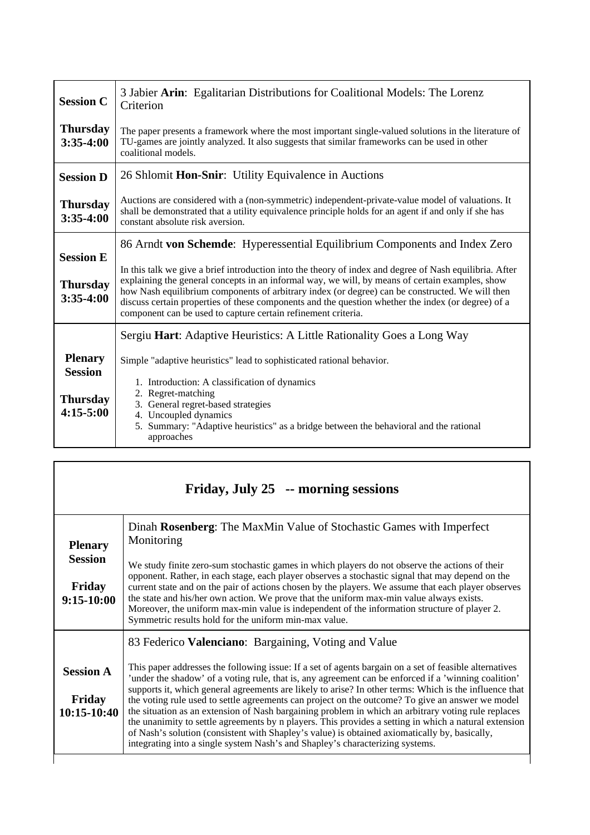| <b>Session C</b>                                                   | 3 Jabier Arin: Egalitarian Distributions for Coalitional Models: The Lorenz<br>Criterion                                                                                                                                                                                                                                                                                                                                                                                                                                                                           |  |
|--------------------------------------------------------------------|--------------------------------------------------------------------------------------------------------------------------------------------------------------------------------------------------------------------------------------------------------------------------------------------------------------------------------------------------------------------------------------------------------------------------------------------------------------------------------------------------------------------------------------------------------------------|--|
| <b>Thursday</b><br>$3:35-4:00$                                     | The paper presents a framework where the most important single-valued solutions in the literature of<br>TU-games are jointly analyzed. It also suggests that similar frameworks can be used in other<br>coalitional models.                                                                                                                                                                                                                                                                                                                                        |  |
| <b>Session D</b>                                                   | 26 Shlomit Hon-Snir: Utility Equivalence in Auctions                                                                                                                                                                                                                                                                                                                                                                                                                                                                                                               |  |
| <b>Thursday</b><br>$3:35-4:00$                                     | Auctions are considered with a (non-symmetric) independent-private-value model of valuations. It<br>shall be demonstrated that a utility equivalence principle holds for an agent if and only if she has<br>constant absolute risk aversion.                                                                                                                                                                                                                                                                                                                       |  |
| <b>Session E</b><br><b>Thursday</b><br>$3:35-4:00$                 | 86 Arndt von Schemde: Hyperessential Equilibrium Components and Index Zero<br>In this talk we give a brief introduction into the theory of index and degree of Nash equilibria. After<br>explaining the general concepts in an informal way, we will, by means of certain examples, show<br>how Nash equilibrium components of arbitrary index (or degree) can be constructed. We will then<br>discuss certain properties of these components and the question whether the index (or degree) of a<br>component can be used to capture certain refinement criteria. |  |
|                                                                    | Sergiu Hart: Adaptive Heuristics: A Little Rationality Goes a Long Way                                                                                                                                                                                                                                                                                                                                                                                                                                                                                             |  |
| <b>Plenary</b><br><b>Session</b><br><b>Thursday</b><br>$4:15-5:00$ | Simple "adaptive heuristics" lead to sophisticated rational behavior.<br>1. Introduction: A classification of dynamics<br>2. Regret-matching<br>3. General regret-based strategies<br>4. Uncoupled dynamics<br>5. Summary: "Adaptive heuristics" as a bridge between the behavioral and the rational<br>approaches                                                                                                                                                                                                                                                 |  |

| Friday, July 25 -- morning sessions |                                                                                                                                                                                                                                                                                                                                                                                                                                                                                                                                                                |
|-------------------------------------|----------------------------------------------------------------------------------------------------------------------------------------------------------------------------------------------------------------------------------------------------------------------------------------------------------------------------------------------------------------------------------------------------------------------------------------------------------------------------------------------------------------------------------------------------------------|
| <b>Plenary</b><br><b>Session</b>    | Dinah Rosenberg: The MaxMin Value of Stochastic Games with Imperfect<br>Monitoring                                                                                                                                                                                                                                                                                                                                                                                                                                                                             |
| Friday<br>$9:15-10:00$              | We study finite zero-sum stochastic games in which players do not observe the actions of their<br>opponent. Rather, in each stage, each player observes a stochastic signal that may depend on the<br>current state and on the pair of actions chosen by the players. We assume that each player observes<br>the state and his/her own action. We prove that the uniform max-min value always exists.<br>Moreover, the uniform max-min value is independent of the information structure of player 2.<br>Symmetric results hold for the uniform min-max value. |
|                                     | 83 Federico Valenciano: Bargaining, Voting and Value                                                                                                                                                                                                                                                                                                                                                                                                                                                                                                           |
| <b>Session A</b>                    | This paper addresses the following issue: If a set of agents bargain on a set of feasible alternatives<br>'under the shadow' of a voting rule, that is, any agreement can be enforced if a 'winning coalition'<br>supports it, which general agreements are likely to arise? In other terms: Which is the influence that                                                                                                                                                                                                                                       |
| Friday<br>10:15-10:40               | the voting rule used to settle agreements can project on the outcome? To give an answer we model<br>the situation as an extension of Nash bargaining problem in which an arbitrary voting rule replaces<br>the unanimity to settle agreements by n players. This provides a setting in which a natural extension<br>of Nash's solution (consistent with Shapley's value) is obtained axiomatically by, basically,<br>integrating into a single system Nash's and Shapley's characterizing systems.                                                             |

 $\Gamma$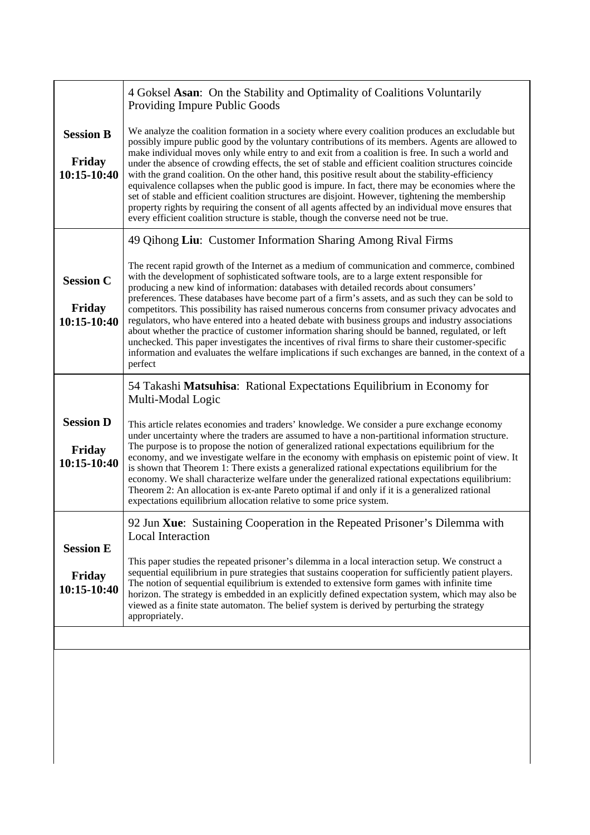| 49 Qihong Liu: Customer Information Sharing Among Rival Firms<br>The recent rapid growth of the Internet as a medium of communication and commerce, combined<br>with the development of sophisticated software tools, are to a large extent responsible for<br><b>Session C</b><br>producing a new kind of information: databases with detailed records about consumers'<br>preferences. These databases have become part of a firm's assets, and as such they can be sold to<br>Friday<br>competitors. This possibility has raised numerous concerns from consumer privacy advocates and<br>regulators, who have entered into a heated debate with business groups and industry associations<br>10:15-10:40<br>about whether the practice of customer information sharing should be banned, regulated, or left<br>unchecked. This paper investigates the incentives of rival firms to share their customer-specific<br>perfect<br>54 Takashi Matsuhisa: Rational Expectations Equilibrium in Economy for<br>Multi-Modal Logic<br><b>Session D</b><br>This article relates economies and traders' knowledge. We consider a pure exchange economy<br>under uncertainty where the traders are assumed to have a non-partitional information structure.<br>The purpose is to propose the notion of generalized rational expectations equilibrium for the<br>Friday<br>10:15-10:40<br>is shown that Theorem 1: There exists a generalized rational expectations equilibrium for the<br>economy. We shall characterize welfare under the generalized rational expectations equilibrium:<br>Theorem 2: An allocation is ex-ante Pareto optimal if and only if it is a generalized rational<br>expectations equilibrium allocation relative to some price system.<br>92 Jun Xue: Sustaining Cooperation in the Repeated Prisoner's Dilemma with<br>Local Interaction<br><b>Session E</b> | <b>Session B</b><br>Friday<br>10:15-10:40 | We analyze the coalition formation in a society where every coalition produces an excludable but<br>possibly impure public good by the voluntary contributions of its members. Agents are allowed to<br>make individual moves only while entry to and exit from a coalition is free. In such a world and<br>under the absence of crowding effects, the set of stable and efficient coalition structures coincide<br>with the grand coalition. On the other hand, this positive result about the stability-efficiency<br>equivalence collapses when the public good is impure. In fact, there may be economies where the<br>set of stable and efficient coalition structures are disjoint. However, tightening the membership<br>property rights by requiring the consent of all agents affected by an individual move ensures that<br>every efficient coalition structure is stable, though the converse need not be true. |
|-----------------------------------------------------------------------------------------------------------------------------------------------------------------------------------------------------------------------------------------------------------------------------------------------------------------------------------------------------------------------------------------------------------------------------------------------------------------------------------------------------------------------------------------------------------------------------------------------------------------------------------------------------------------------------------------------------------------------------------------------------------------------------------------------------------------------------------------------------------------------------------------------------------------------------------------------------------------------------------------------------------------------------------------------------------------------------------------------------------------------------------------------------------------------------------------------------------------------------------------------------------------------------------------------------------------------------------------------------------------------------------------------------------------------------------------------------------------------------------------------------------------------------------------------------------------------------------------------------------------------------------------------------------------------------------------------------------------------------------------------------------------------------------------------------------------------------------------------------------------------------------|-------------------------------------------|----------------------------------------------------------------------------------------------------------------------------------------------------------------------------------------------------------------------------------------------------------------------------------------------------------------------------------------------------------------------------------------------------------------------------------------------------------------------------------------------------------------------------------------------------------------------------------------------------------------------------------------------------------------------------------------------------------------------------------------------------------------------------------------------------------------------------------------------------------------------------------------------------------------------------|
|                                                                                                                                                                                                                                                                                                                                                                                                                                                                                                                                                                                                                                                                                                                                                                                                                                                                                                                                                                                                                                                                                                                                                                                                                                                                                                                                                                                                                                                                                                                                                                                                                                                                                                                                                                                                                                                                                   |                                           | information and evaluates the welfare implications if such exchanges are banned, in the context of a                                                                                                                                                                                                                                                                                                                                                                                                                                                                                                                                                                                                                                                                                                                                                                                                                       |
|                                                                                                                                                                                                                                                                                                                                                                                                                                                                                                                                                                                                                                                                                                                                                                                                                                                                                                                                                                                                                                                                                                                                                                                                                                                                                                                                                                                                                                                                                                                                                                                                                                                                                                                                                                                                                                                                                   |                                           | economy, and we investigate welfare in the economy with emphasis on epistemic point of view. It                                                                                                                                                                                                                                                                                                                                                                                                                                                                                                                                                                                                                                                                                                                                                                                                                            |
| sequential equilibrium in pure strategies that sustains cooperation for sufficiently patient players.<br>Friday<br>The notion of sequential equilibrium is extended to extensive form games with infinite time<br>10:15-10:40<br>viewed as a finite state automaton. The belief system is derived by perturbing the strategy<br>appropriately.                                                                                                                                                                                                                                                                                                                                                                                                                                                                                                                                                                                                                                                                                                                                                                                                                                                                                                                                                                                                                                                                                                                                                                                                                                                                                                                                                                                                                                                                                                                                    |                                           | This paper studies the repeated prisoner's dilemma in a local interaction setup. We construct a<br>horizon. The strategy is embedded in an explicitly defined expectation system, which may also be                                                                                                                                                                                                                                                                                                                                                                                                                                                                                                                                                                                                                                                                                                                        |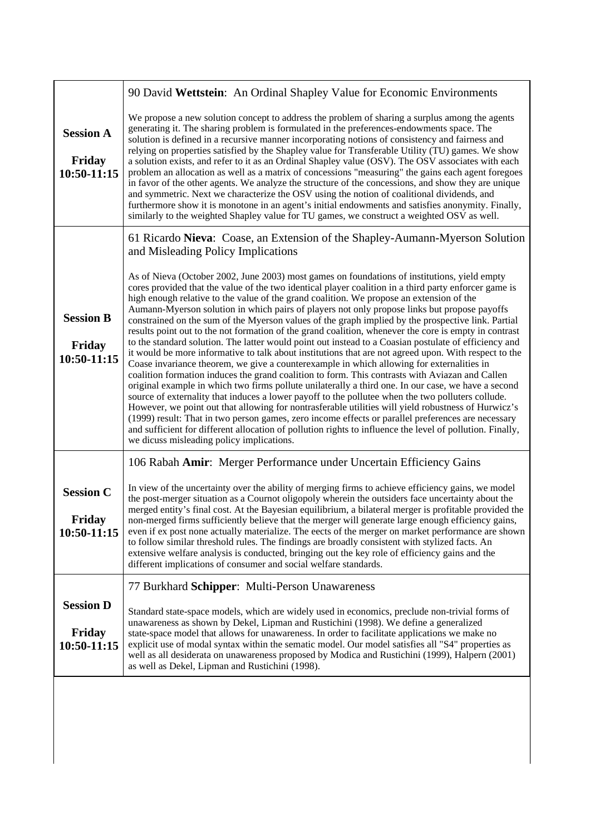|                                           | 90 David Wettstein: An Ordinal Shapley Value for Economic Environments                                                                                                                                                                                                                                                                                                                                                                                                                                                                                                                                                                                                                                                                                                                                                                                                                                                                                                                                                                                                                                                                                                                                                                                                                                                                                                                                                                                                                                                                                                                                                |
|-------------------------------------------|-----------------------------------------------------------------------------------------------------------------------------------------------------------------------------------------------------------------------------------------------------------------------------------------------------------------------------------------------------------------------------------------------------------------------------------------------------------------------------------------------------------------------------------------------------------------------------------------------------------------------------------------------------------------------------------------------------------------------------------------------------------------------------------------------------------------------------------------------------------------------------------------------------------------------------------------------------------------------------------------------------------------------------------------------------------------------------------------------------------------------------------------------------------------------------------------------------------------------------------------------------------------------------------------------------------------------------------------------------------------------------------------------------------------------------------------------------------------------------------------------------------------------------------------------------------------------------------------------------------------------|
| <b>Session A</b><br>Friday<br>10:50-11:15 | We propose a new solution concept to address the problem of sharing a surplus among the agents<br>generating it. The sharing problem is formulated in the preferences-endowments space. The<br>solution is defined in a recursive manner incorporating notions of consistency and fairness and<br>relying on properties satisfied by the Shapley value for Transferable Utility (TU) games. We show<br>a solution exists, and refer to it as an Ordinal Shapley value (OSV). The OSV associates with each<br>problem an allocation as well as a matrix of concessions "measuring" the gains each agent foregoes<br>in favor of the other agents. We analyze the structure of the concessions, and show they are unique<br>and symmetric. Next we characterize the OSV using the notion of coalitional dividends, and<br>furthermore show it is monotone in an agent's initial endowments and satisfies anonymity. Finally,<br>similarly to the weighted Shapley value for TU games, we construct a weighted OSV as well.                                                                                                                                                                                                                                                                                                                                                                                                                                                                                                                                                                                              |
|                                           | 61 Ricardo Nieva: Coase, an Extension of the Shapley-Aumann-Myerson Solution<br>and Misleading Policy Implications                                                                                                                                                                                                                                                                                                                                                                                                                                                                                                                                                                                                                                                                                                                                                                                                                                                                                                                                                                                                                                                                                                                                                                                                                                                                                                                                                                                                                                                                                                    |
| <b>Session B</b><br>Friday<br>10:50-11:15 | As of Nieva (October 2002, June 2003) most games on foundations of institutions, yield empty<br>cores provided that the value of the two identical player coalition in a third party enforcer game is<br>high enough relative to the value of the grand coalition. We propose an extension of the<br>Aumann-Myerson solution in which pairs of players not only propose links but propose payoffs<br>constrained on the sum of the Myerson values of the graph implied by the prospective link. Partial<br>results point out to the not formation of the grand coalition, whenever the core is empty in contrast<br>to the standard solution. The latter would point out instead to a Coasian postulate of efficiency and<br>it would be more informative to talk about institutions that are not agreed upon. With respect to the<br>Coase invariance theorem, we give a counterexample in which allowing for externalities in<br>coalition formation induces the grand coalition to form. This contrasts with Aviazan and Callen<br>original example in which two firms pollute unilaterally a third one. In our case, we have a second<br>source of externality that induces a lower payoff to the pollutee when the two polluters collude.<br>However, we point out that allowing for nontrasferable utilities will yield robustness of Hurwicz's<br>(1999) result: That in two person games, zero income effects or parallel preferences are necessary<br>and sufficient for different allocation of pollution rights to influence the level of pollution. Finally,<br>we dicuss misleading policy implications. |
|                                           | 106 Rabah Amir: Merger Performance under Uncertain Efficiency Gains                                                                                                                                                                                                                                                                                                                                                                                                                                                                                                                                                                                                                                                                                                                                                                                                                                                                                                                                                                                                                                                                                                                                                                                                                                                                                                                                                                                                                                                                                                                                                   |
| <b>Session C</b><br>Friday<br>10:50-11:15 | In view of the uncertainty over the ability of merging firms to achieve efficiency gains, we model<br>the post-merger situation as a Cournot oligopoly wherein the outsiders face uncertainty about the<br>merged entity's final cost. At the Bayesian equilibrium, a bilateral merger is profitable provided the<br>non-merged firms sufficiently believe that the merger will generate large enough efficiency gains,<br>even if ex post none actually materialize. The eects of the merger on market performance are shown<br>to follow similar threshold rules. The findings are broadly consistent with stylized facts. An<br>extensive welfare analysis is conducted, bringing out the key role of efficiency gains and the<br>different implications of consumer and social welfare standards.                                                                                                                                                                                                                                                                                                                                                                                                                                                                                                                                                                                                                                                                                                                                                                                                                 |
|                                           | 77 Burkhard Schipper: Multi-Person Unawareness                                                                                                                                                                                                                                                                                                                                                                                                                                                                                                                                                                                                                                                                                                                                                                                                                                                                                                                                                                                                                                                                                                                                                                                                                                                                                                                                                                                                                                                                                                                                                                        |
| <b>Session D</b><br>Friday<br>10:50-11:15 | Standard state-space models, which are widely used in economics, preclude non-trivial forms of<br>unawareness as shown by Dekel, Lipman and Rustichini (1998). We define a generalized<br>state-space model that allows for unawareness. In order to facilitate applications we make no<br>explicit use of modal syntax within the sematic model. Our model satisfies all "S4" properties as<br>well as all desiderata on unawareness proposed by Modica and Rustichini (1999), Halpern (2001)<br>as well as Dekel, Lipman and Rustichini (1998).                                                                                                                                                                                                                                                                                                                                                                                                                                                                                                                                                                                                                                                                                                                                                                                                                                                                                                                                                                                                                                                                     |